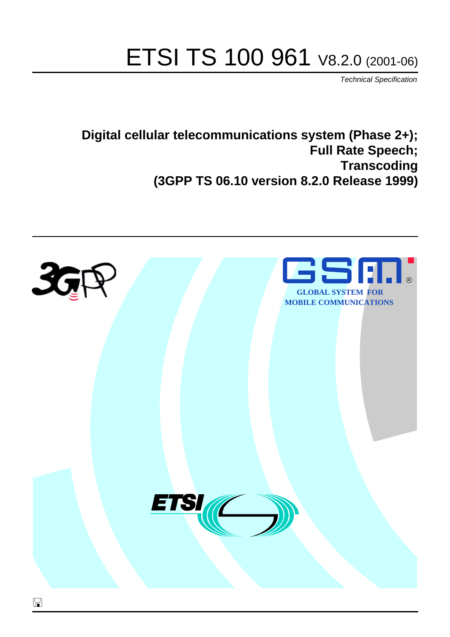# ETSI TS 100 961 V8.2.0 (2001-06)

Technical Specification

**Digital cellular telecommunications system (Phase 2+); Full Rate Speech; Transcoding (3GPP TS 06.10 version 8.2.0 Release 1999)**

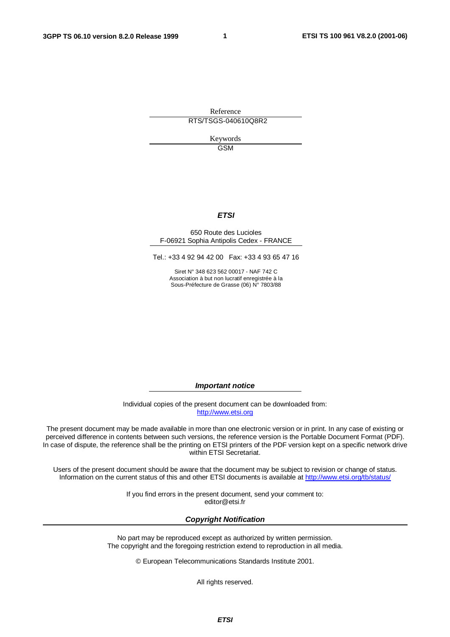**1**

Reference RTS/TSGS-040610Q8R2

> Keywords GSM

#### **ETSI**

#### 650 Route des Lucioles F-06921 Sophia Antipolis Cedex - FRANCE

Tel.: +33 4 92 94 42 00 Fax: +33 4 93 65 47 16

Siret N° 348 623 562 00017 - NAF 742 C Association à but non lucratif enregistrée à la Sous-Préfecture de Grasse (06) N° 7803/88

**Important notice**

Individual copies of the present document can be downloaded from: [http://www.etsi.org](http://www.etsi.org/)

The present document may be made available in more than one electronic version or in print. In any case of existing or perceived difference in contents between such versions, the reference version is the Portable Document Format (PDF). In case of dispute, the reference shall be the printing on ETSI printers of the PDF version kept on a specific network drive within ETSI Secretariat.

Users of the present document should be aware that the document may be subject to revision or change of status. Information on the current status of this and other ETSI documents is available at <http://www.etsi.org/tb/status>/

> If you find errors in the present document, send your comment to: <editor@etsi.fr>

#### **Copyright Notification**

No part may be reproduced except as authorized by written permission. The copyright and the foregoing restriction extend to reproduction in all media.

© European Telecommunications Standards Institute 2001.

All rights reserved.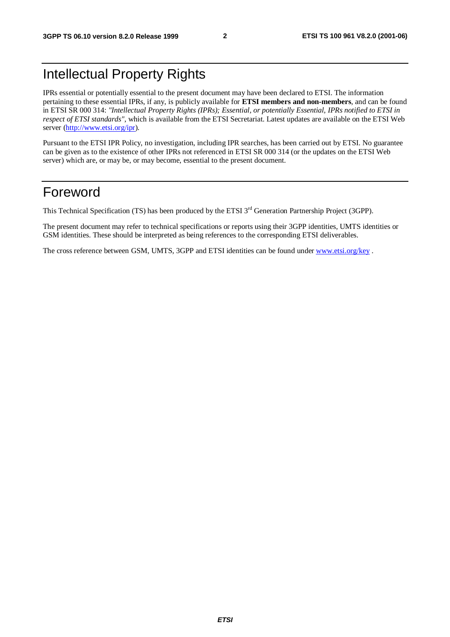## Intellectual Property Rights

IPRs essential or potentially essential to the present document may have been declared to ETSI. The information pertaining to these essential IPRs, if any, is publicly available for **ETSI members and non-members**, and can be found in ETSI SR 000 314: *"Intellectual Property Rights (IPRs); Essential, or potentially Essential, IPRs notified to ETSI in respect of ETSI standards"*, which is available from the ETSI Secretariat. Latest updates are available on the ETSI Web server [\(http://www.etsi.org/ipr\)](http://www.etsi.org/ipr).

Pursuant to the ETSI IPR Policy, no investigation, including IPR searches, has been carried out by ETSI. No guarantee can be given as to the existence of other IPRs not referenced in ETSI SR 000 314 (or the updates on the ETSI Web server) which are, or may be, or may become, essential to the present document.

### Foreword

This Technical Specification (TS) has been produced by the ETSI 3<sup>rd</sup> Generation Partnership Project (3GPP).

The present document may refer to technical specifications or reports using their 3GPP identities, UMTS identities or GSM identities. These should be interpreted as being references to the corresponding ETSI deliverables.

The cross reference between GSM, UMTS, 3GPP and ETSI identities can be found under [www.etsi.org/key](http://www.etsi.org/key) .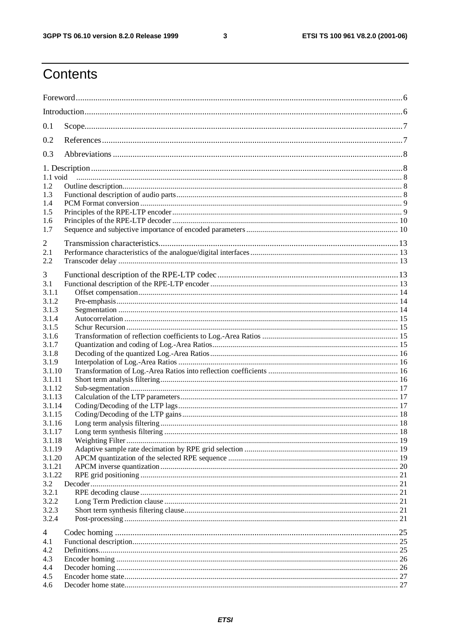$\mathbf{3}$ 

### Contents

| 0.1              |  |  |  |  |  |
|------------------|--|--|--|--|--|
| 0.2              |  |  |  |  |  |
| 0.3              |  |  |  |  |  |
|                  |  |  |  |  |  |
| 1.2              |  |  |  |  |  |
| 1.3              |  |  |  |  |  |
| 1.4              |  |  |  |  |  |
| 1.5              |  |  |  |  |  |
| 1.6              |  |  |  |  |  |
| 1.7              |  |  |  |  |  |
| 2                |  |  |  |  |  |
| 2.1              |  |  |  |  |  |
| 2.2              |  |  |  |  |  |
| 3                |  |  |  |  |  |
| 3.1              |  |  |  |  |  |
| 3.1.1            |  |  |  |  |  |
| 3.1.2            |  |  |  |  |  |
| 3.1.3            |  |  |  |  |  |
| 3.1.4            |  |  |  |  |  |
| 3.1.5            |  |  |  |  |  |
| 3.1.6            |  |  |  |  |  |
| 3.1.7            |  |  |  |  |  |
| 3.1.8            |  |  |  |  |  |
| 3.1.9            |  |  |  |  |  |
| 3.1.10           |  |  |  |  |  |
| 3.1.11           |  |  |  |  |  |
| 3.1.12<br>3.1.13 |  |  |  |  |  |
| 3.1.14           |  |  |  |  |  |
| 3.1.15           |  |  |  |  |  |
| 3.1.16           |  |  |  |  |  |
| 3.1.17           |  |  |  |  |  |
| 3.1.18           |  |  |  |  |  |
| 3.1.19           |  |  |  |  |  |
| 3.1.20           |  |  |  |  |  |
| 3.1.21           |  |  |  |  |  |
| 3.1.22           |  |  |  |  |  |
| 3.2              |  |  |  |  |  |
| 3.2.1            |  |  |  |  |  |
| 3.2.2            |  |  |  |  |  |
| 3.2.3            |  |  |  |  |  |
| 3.2.4            |  |  |  |  |  |
| 4                |  |  |  |  |  |
| 4.1              |  |  |  |  |  |
| 4.2              |  |  |  |  |  |
| 4.3              |  |  |  |  |  |
| 4.4              |  |  |  |  |  |
| 4.5              |  |  |  |  |  |
| 4.6              |  |  |  |  |  |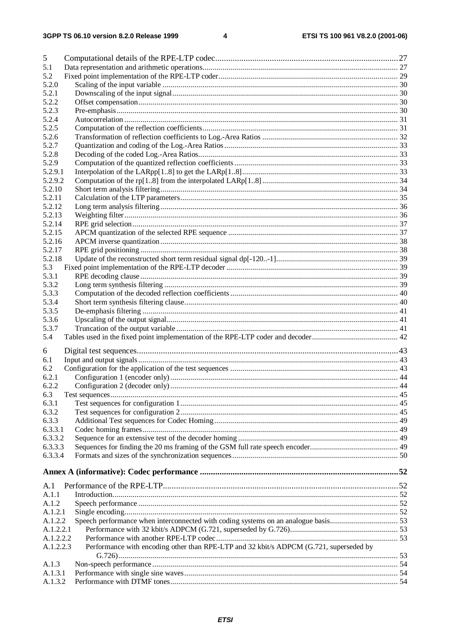| 5         |                                                                                        |  |
|-----------|----------------------------------------------------------------------------------------|--|
| 5.1       |                                                                                        |  |
| 5.2       |                                                                                        |  |
| 5.2.0     |                                                                                        |  |
| 5.2.1     |                                                                                        |  |
| 5.2.2     |                                                                                        |  |
| 5.2.3     |                                                                                        |  |
| 5.2.4     |                                                                                        |  |
| 5.2.5     |                                                                                        |  |
| 5.2.6     |                                                                                        |  |
| 5.2.7     |                                                                                        |  |
| 5.2.8     |                                                                                        |  |
| 5.2.9     |                                                                                        |  |
| 5.2.9.1   |                                                                                        |  |
| 5.2.9.2   |                                                                                        |  |
| 5.2.10    |                                                                                        |  |
| 5.2.11    |                                                                                        |  |
| 5.2.12    |                                                                                        |  |
| 5.2.13    |                                                                                        |  |
| 5.2.14    |                                                                                        |  |
| 5.2.15    |                                                                                        |  |
| 5.2.16    |                                                                                        |  |
| 5.2.17    |                                                                                        |  |
| 5.2.18    |                                                                                        |  |
| 5.3       |                                                                                        |  |
| 5.3.1     |                                                                                        |  |
| 5.3.2     |                                                                                        |  |
| 5.3.3     |                                                                                        |  |
| 5.3.4     |                                                                                        |  |
|           |                                                                                        |  |
| 5.3.5     |                                                                                        |  |
| 5.3.6     |                                                                                        |  |
| 5.3.7     |                                                                                        |  |
| 5.4       |                                                                                        |  |
| 6         |                                                                                        |  |
| 6.1       |                                                                                        |  |
| 6.2       |                                                                                        |  |
| 6.2.1     |                                                                                        |  |
| 6.2.2     |                                                                                        |  |
| 6.3       |                                                                                        |  |
| 6.3.1     |                                                                                        |  |
| 6.3.2     |                                                                                        |  |
| 6.3.3     |                                                                                        |  |
| 6.3.3.1   |                                                                                        |  |
|           |                                                                                        |  |
| 6.3.3.2   |                                                                                        |  |
| 6.3.3.3   |                                                                                        |  |
| 6.3.3.4   |                                                                                        |  |
|           |                                                                                        |  |
|           |                                                                                        |  |
| A.1       |                                                                                        |  |
| A.1.1     |                                                                                        |  |
| A.1.2     |                                                                                        |  |
| A.1.2.1   |                                                                                        |  |
| A.1.2.2   |                                                                                        |  |
| A.1.2.2.1 |                                                                                        |  |
| A.1.2.2.2 |                                                                                        |  |
| A.1.2.2.3 | Performance with encoding other than RPE-LTP and 32 kbit/s ADPCM (G.721, superseded by |  |
|           |                                                                                        |  |
| A.1.3     |                                                                                        |  |
| A.1.3.1   |                                                                                        |  |
|           |                                                                                        |  |
| A.1.3.2   |                                                                                        |  |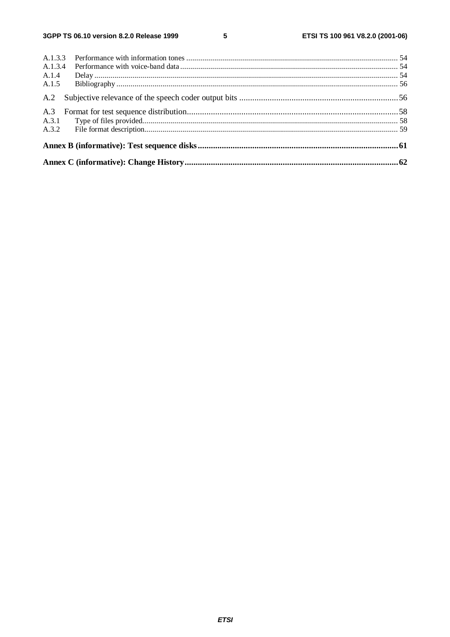${\bf 5}$ 

| A.1.4 |  |
|-------|--|
| A.1.5 |  |
|       |  |
| A.3   |  |
|       |  |
|       |  |
|       |  |
|       |  |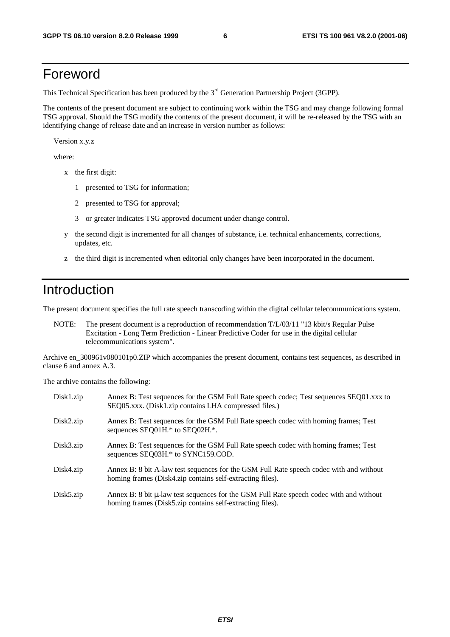### Foreword

This Technical Specification has been produced by the 3<sup>rd</sup> Generation Partnership Project (3GPP).

The contents of the present document are subject to continuing work within the TSG and may change following formal TSG approval. Should the TSG modify the contents of the present document, it will be re-released by the TSG with an identifying change of release date and an increase in version number as follows:

Version x.y.z

where:

- x the first digit:
	- 1 presented to TSG for information;
	- 2 presented to TSG for approval;
	- 3 or greater indicates TSG approved document under change control.
- y the second digit is incremented for all changes of substance, i.e. technical enhancements, corrections, updates, etc.
- z the third digit is incremented when editorial only changes have been incorporated in the document.

### Introduction

The present document specifies the full rate speech transcoding within the digital cellular telecommunications system.

NOTE: The present document is a reproduction of recommendation T/L/03/11 "13 kbit/s Regular Pulse Excitation - Long Term Prediction - Linear Predictive Coder for use in the digital cellular telecommunications system".

Archive en\_300961v080101p0.ZIP which accompanies the present document, contains test sequences, as described in clause 6 and annex A.3.

The archive contains the following:

| $Disk1.\overline{zip}$ | Annex B: Test sequences for the GSM Full Rate speech codec; Test sequences SEQ01.xxx to<br>SEQ05.xxx. (Disk1.zip contains LHA compressed files.)     |
|------------------------|------------------------------------------------------------------------------------------------------------------------------------------------------|
| Disk2.zip              | Annex B: Test sequences for the GSM Full Rate speech codec with homing frames; Test<br>sequences SEQ01H.* to SEQ02H.*.                               |
| Disk3.zip              | Annex B: Test sequences for the GSM Full Rate speech codec with homing frames; Test<br>sequences SEQ03H.* to SYNC159.COD.                            |
| Disk4.zip              | Annex B: 8 bit A-law test sequences for the GSM Full Rate speech codec with and without<br>homing frames (Disk4.zip contains self-extracting files). |
| Disk5.zip              | Annex B: 8 bit µ-law test sequences for the GSM Full Rate speech codec with and without<br>homing frames (Disk5.zip contains self-extracting files). |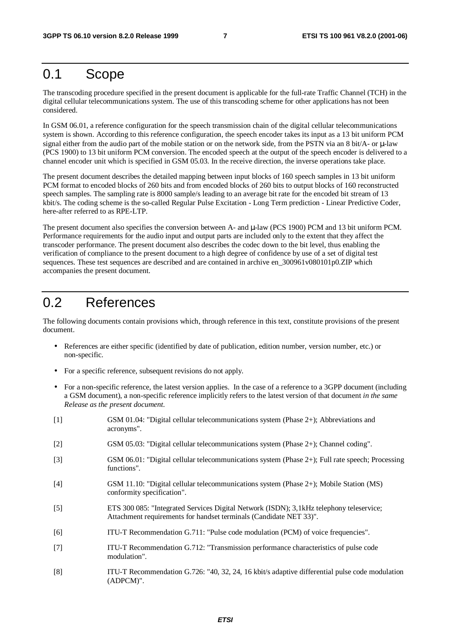### 0.1 Scope

The transcoding procedure specified in the present document is applicable for the full-rate Traffic Channel (TCH) in the digital cellular telecommunications system. The use of this transcoding scheme for other applications has not been considered.

In GSM 06.01, a reference configuration for the speech transmission chain of the digital cellular telecommunications system is shown. According to this reference configuration, the speech encoder takes its input as a 13 bit uniform PCM signal either from the audio part of the mobile station or on the network side, from the PSTN via an 8 bit/A- or  $\mu$ -law (PCS 1900) to 13 bit uniform PCM conversion. The encoded speech at the output of the speech encoder is delivered to a channel encoder unit which is specified in GSM 05.03. In the receive direction, the inverse operations take place.

The present document describes the detailed mapping between input blocks of 160 speech samples in 13 bit uniform PCM format to encoded blocks of 260 bits and from encoded blocks of 260 bits to output blocks of 160 reconstructed speech samples. The sampling rate is 8000 sample/s leading to an average bit rate for the encoded bit stream of 13 kbit/s. The coding scheme is the so-called Regular Pulse Excitation - Long Term prediction - Linear Predictive Coder, here-after referred to as RPE-LTP.

The present document also specifies the conversion between A- and µ-law (PCS 1900) PCM and 13 bit uniform PCM. Performance requirements for the audio input and output parts are included only to the extent that they affect the transcoder performance. The present document also describes the codec down to the bit level, thus enabling the verification of compliance to the present document to a high degree of confidence by use of a set of digital test sequences. These test sequences are described and are contained in archive en\_300961v080101p0.ZIP which accompanies the present document.

### 0.2 References

The following documents contain provisions which, through reference in this text, constitute provisions of the present document.

- References are either specific (identified by date of publication, edition number, version number, etc.) or non-specific.
- For a specific reference, subsequent revisions do not apply.
- For a non-specific reference, the latest version applies. In the case of a reference to a 3GPP document (including a GSM document), a non-specific reference implicitly refers to the latest version of that document *in the same Release as the present document*.

| $[1]$             | GSM 01.04: "Digital cellular telecommunications system (Phase $2+$ ); Abbreviations and<br>acronyms".                                                          |
|-------------------|----------------------------------------------------------------------------------------------------------------------------------------------------------------|
| $[2]$             | GSM 05.03: "Digital cellular telecommunications system (Phase 2+); Channel coding".                                                                            |
| $[3]$             | GSM 06.01: "Digital cellular telecommunications system (Phase 2+); Full rate speech; Processing<br>functions".                                                 |
| $[4]$             | GSM 11.10: "Digital cellular telecommunications system (Phase $2+$ ); Mobile Station (MS)<br>conformity specification".                                        |
| $\lceil 5 \rceil$ | ETS 300 085: "Integrated Services Digital Network (ISDN); 3,1 kHz telephony teleservice;<br>Attachment requirements for handset terminals (Candidate NET 33)". |
| [6]               | ITU-T Recommendation G.711: "Pulse code modulation (PCM) of voice frequencies".                                                                                |
| $[7]$             | ITU-T Recommendation G.712: "Transmission performance characteristics of pulse code<br>modulation".                                                            |
| [8]               | ITU-T Recommendation G.726: "40, 32, 24, 16 kbit/s adaptive differential pulse code modulation<br>$(ADPCM)$ ".                                                 |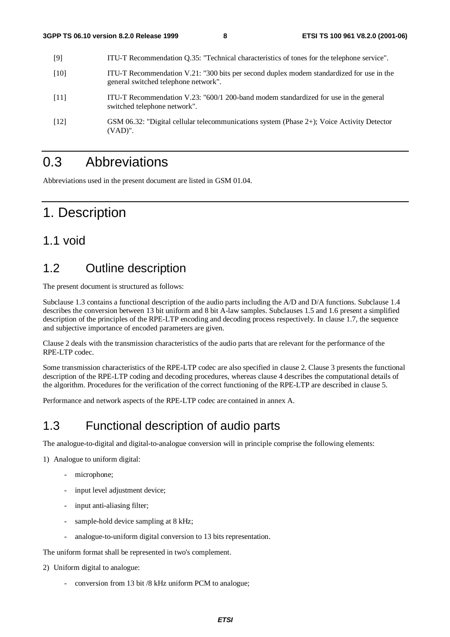| [9]                | ITU-T Recommendation Q.35: "Technical characteristics of tones for the telephone service".                                       |
|--------------------|----------------------------------------------------------------------------------------------------------------------------------|
| [10]               | ITU-T Recommendation V.21: "300 bits per second duplex modem standardized for use in the<br>general switched telephone network". |
| [11]               | ITU-T Recommendation V.23: "600/1 200-band modem standardized for use in the general<br>switched telephone network".             |
| $\lceil 12 \rceil$ | GSM 06.32: "Digital cellular telecommunications system (Phase 2+); Voice Activity Detector<br>$(VAD)$ ".                         |

### 0.3 Abbreviations

Abbreviations used in the present document are listed in GSM 01.04.

### 1. Description

#### 1.1 void

### 1.2 Outline description

The present document is structured as follows:

Subclause 1.3 contains a functional description of the audio parts including the A/D and D/A functions. Subclause 1.4 describes the conversion between 13 bit uniform and 8 bit A-law samples. Subclauses 1.5 and 1.6 present a simplified description of the principles of the RPE-LTP encoding and decoding process respectively. In clause 1.7, the sequence and subjective importance of encoded parameters are given.

Clause 2 deals with the transmission characteristics of the audio parts that are relevant for the performance of the RPE-LTP codec.

Some transmission characteristics of the RPE-LTP codec are also specified in clause 2. Clause 3 presents the functional description of the RPE-LTP coding and decoding procedures, whereas clause 4 describes the computational details of the algorithm. Procedures for the verification of the correct functioning of the RPE-LTP are described in clause 5.

Performance and network aspects of the RPE-LTP codec are contained in annex A.

### 1.3 Functional description of audio parts

The analogue-to-digital and digital-to-analogue conversion will in principle comprise the following elements:

1) Analogue to uniform digital:

- microphone;
- input level adjustment device;
- input anti-aliasing filter;
- sample-hold device sampling at 8 kHz;
- analogue-to-uniform digital conversion to 13 bits representation.

The uniform format shall be represented in two's complement.

- 2) Uniform digital to analogue:
	- conversion from 13 bit /8 kHz uniform PCM to analogue;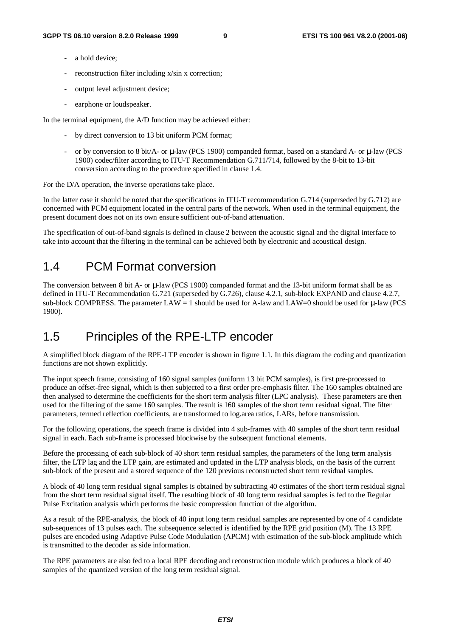- a hold device:
- reconstruction filter including x/sin x correction;
- output level adjustment device;
- earphone or loudspeaker.

In the terminal equipment, the A/D function may be achieved either:

- by direct conversion to 13 bit uniform PCM format;
- or by conversion to 8 bit/A- or  $\mu$ -law (PCS 1900) companded format, based on a standard A- or  $\mu$ -law (PCS 1900) codec/filter according to ITU-T Recommendation G.711/714, followed by the 8-bit to 13-bit conversion according to the procedure specified in clause 1.4.

For the D/A operation, the inverse operations take place.

In the latter case it should be noted that the specifications in ITU-T recommendation G.714 (superseded by G.712) are concerned with PCM equipment located in the central parts of the network. When used in the terminal equipment, the present document does not on its own ensure sufficient out-of-band attenuation.

The specification of out-of-band signals is defined in clause 2 between the acoustic signal and the digital interface to take into account that the filtering in the terminal can be achieved both by electronic and acoustical design.

### 1.4 PCM Format conversion

The conversion between 8 bit A- or  $\mu$ -law (PCS 1900) companded format and the 13-bit uniform format shall be as defined in ITU-T Recommendation G.721 (superseded by G.726), clause 4.2.1, sub-block EXPAND and clause 4.2.7, sub-block COMPRESS. The parameter  $LAW = 1$  should be used for A-law and  $LAW=0$  should be used for  $\mu$ -law (PCS 1900).

### 1.5 Principles of the RPE-LTP encoder

A simplified block diagram of the RPE-LTP encoder is shown in figure 1.1. In this diagram the coding and quantization functions are not shown explicitly.

The input speech frame, consisting of 160 signal samples (uniform 13 bit PCM samples), is first pre-processed to produce an offset-free signal, which is then subjected to a first order pre-emphasis filter. The 160 samples obtained are then analysed to determine the coefficients for the short term analysis filter (LPC analysis). These parameters are then used for the filtering of the same 160 samples. The result is 160 samples of the short term residual signal. The filter parameters, termed reflection coefficients, are transformed to log.area ratios, LARs, before transmission.

For the following operations, the speech frame is divided into 4 sub-frames with 40 samples of the short term residual signal in each. Each sub-frame is processed blockwise by the subsequent functional elements.

Before the processing of each sub-block of 40 short term residual samples, the parameters of the long term analysis filter, the LTP lag and the LTP gain, are estimated and updated in the LTP analysis block, on the basis of the current sub-block of the present and a stored sequence of the 120 previous reconstructed short term residual samples.

A block of 40 long term residual signal samples is obtained by subtracting 40 estimates of the short term residual signal from the short term residual signal itself. The resulting block of 40 long term residual samples is fed to the Regular Pulse Excitation analysis which performs the basic compression function of the algorithm.

As a result of the RPE-analysis, the block of 40 input long term residual samples are represented by one of 4 candidate sub-sequences of 13 pulses each. The subsequence selected is identified by the RPE grid position (M). The 13 RPE pulses are encoded using Adaptive Pulse Code Modulation (APCM) with estimation of the sub-block amplitude which is transmitted to the decoder as side information.

The RPE parameters are also fed to a local RPE decoding and reconstruction module which produces a block of 40 samples of the quantized version of the long term residual signal.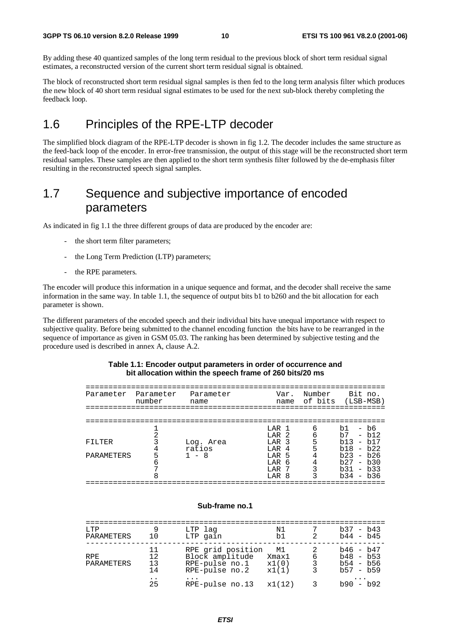By adding these 40 quantized samples of the long term residual to the previous block of short term residual signal estimates, a reconstructed version of the current short term residual signal is obtained.

The block of reconstructed short term residual signal samples is then fed to the long term analysis filter which produces the new block of 40 short term residual signal estimates to be used for the next sub-block thereby completing the feedback loop.

### 1.6 Principles of the RPE-LTP decoder

The simplified block diagram of the RPE-LTP decoder is shown in fig 1.2. The decoder includes the same structure as the feed-back loop of the encoder. In error-free transmission, the output of this stage will be the reconstructed short term residual samples. These samples are then applied to the short term synthesis filter followed by the de-emphasis filter resulting in the reconstructed speech signal samples.

### 1.7 Sequence and subjective importance of encoded parameters

As indicated in fig 1.1 the three different groups of data are produced by the encoder are:

- the short term filter parameters;
- the Long Term Prediction (LTP) parameters;
- the RPE parameters.

The encoder will produce this information in a unique sequence and format, and the decoder shall receive the same information in the same way. In table 1.1, the sequence of output bits b1 to b260 and the bit allocation for each parameter is shown.

The different parameters of the encoded speech and their individual bits have unequal importance with respect to subjective quality. Before being submitted to the channel encoding function the bits have to be rearranged in the sequence of importance as given in GSM 05.03. The ranking has been determined by subjective testing and the procedure used is described in annex A, clause A.2.

#### **Table 1.1: Encoder output parameters in order of occurrence and bit allocation within the speech frame of 260 bits/20 ms**

| Parameter  | Parameter<br>number | Parameter<br>name |                                                          | Var.<br>name | Number<br>of bits (LSB-MSB) |                                          | Bit no.                      |
|------------|---------------------|-------------------|----------------------------------------------------------|--------------|-----------------------------|------------------------------------------|------------------------------|
|            |                     |                   |                                                          |              |                             |                                          |                              |
| FILTER     |                     | Log. Area         | LAR <sub>1</sub><br>LAR <sub>2</sub><br>LAR <sub>3</sub> |              | 6<br>б<br>5                 | b1<br>b7<br>b13                          | $- b6$<br>$- b12$<br>$- b17$ |
| PARAMETERS |                     | ratios<br>- 8     | LAR<br>LAR <sub>5</sub><br>LAR<br>T.AR                   | 4<br>- 6     |                             | b18<br>$h23 - h26$<br>b27<br>$b31 - b33$ | $- h22$<br>$- b30$           |
|            |                     |                   | LAR 8                                                    |              |                             | $b34 - b36$                              |                              |

#### **Sub-frame no.1**

| LTP<br>PARAMETERS  | 1 O                  | LTP lag<br>LTP gain                                                      | N1<br>b1.                     | 2           | $b37 - b43$<br>$b44 - b45$                               |
|--------------------|----------------------|--------------------------------------------------------------------------|-------------------------------|-------------|----------------------------------------------------------|
| RPF.<br>PARAMETERS | 11<br>12<br>13<br>14 | RPE grid position<br>Block amplitude<br>RPE-pulse no.1<br>RPE-pulse no.2 | M1<br>Xmax1<br>x1(0)<br>x1(1) | 6<br>3<br>3 | $b46 - b47$<br>$b48 - b53$<br>$b54 - b56$<br>$h57 - h59$ |
|                    | 25                   | RPE-pulse no.13                                                          | x1(12)                        | 3           | $\cdots$<br>$b90 - b92$                                  |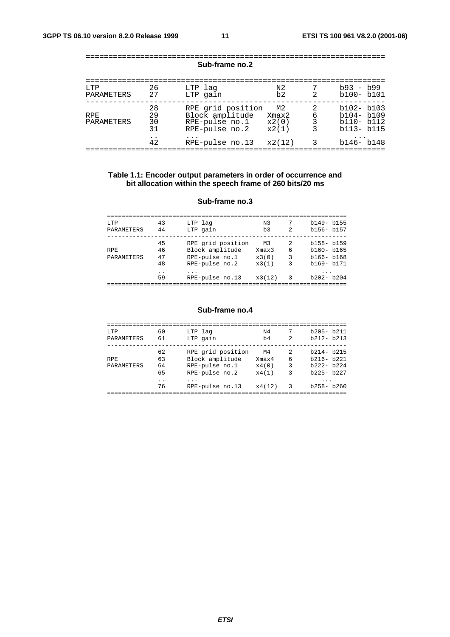|                    |                      | <b>OUD-HANG HU.</b> Z                                                    |                               |                |                                                                  |
|--------------------|----------------------|--------------------------------------------------------------------------|-------------------------------|----------------|------------------------------------------------------------------|
| T.TP<br>PARAMETERS | 26<br>2.7            | LTP lag<br>LTP gain                                                      | N <sub>2</sub><br>b2          | $\mathfrak{D}$ | $b93 - b99$<br>$b100 - b101$                                     |
| RPF.<br>PARAMETERS | 28<br>29<br>30<br>31 | RPE grid position<br>Block amplitude<br>RPE-pulse no.1<br>RPE-pulse no.2 | M2<br>Xmax2<br>x2(0)<br>x2(1) | 2<br>6<br>3    | $b102 - b103$<br>$b104 - b109$<br>$b110 - b112$<br>$b113 - b115$ |
|                    | 42                   | RPE-pulse no.13                                                          | x2(12)                        | 3              | $b146 - b148$                                                    |
|                    |                      |                                                                          |                               |                |                                                                  |

#### ================================================================== **Sub-frame no.2**

#### **Table 1.1: Encoder output parameters in order of occurrence and bit allocation within the speech frame of 260 bits/20 ms**

#### **Sub-frame no.3**

| LTP        | 43  | LTP lag           | N <sub>3</sub> |                | $b149 - b155$ |
|------------|-----|-------------------|----------------|----------------|---------------|
| PARAMETERS | 44  | LTP gain          | b <sub>3</sub> | $\mathfrak{D}$ | $b156 - b157$ |
|            |     |                   |                |                |               |
|            | 45  | RPE grid position | M3             | 2              | $b158 - b159$ |
| <b>RPE</b> | 46  | Block amplitude   | Xmax3          | 6              | $b160 - b165$ |
| PARAMETERS | 47  | RPE-pulse no.1    | x3(0)          | 3              | $b166 - b168$ |
|            | 48  | RPE-pulse no.2    | x3(1)          | 3              | $b169 - b171$ |
|            | . . | .                 |                |                | .             |
|            | 59  | RPE-pulse no.13   | x3(12)         | 3              | $b202 - b204$ |
|            |     |                   |                |                |               |

#### **Sub-frame no.4**

| T.TP                     | 60                                                 | LTP lag                                                                                          | N4                                      | 7                     | $b205 - b211$                                                                     |
|--------------------------|----------------------------------------------------|--------------------------------------------------------------------------------------------------|-----------------------------------------|-----------------------|-----------------------------------------------------------------------------------|
| PARAMETERS               | 61                                                 | LTP gain                                                                                         | b4                                      | $\mathfrak{D}$        | $b212 - b213$                                                                     |
| <b>RPE</b><br>PARAMETERS | 62<br>63<br>64<br>65<br>$\ddot{\phantom{0}}$<br>76 | RPE grid position<br>Block amplitude<br>RPE-pulse no.1<br>RPE-pulse no.2<br>.<br>RPE-pulse no.13 | M4<br>Xmax4<br>x4(0)<br>x4(1)<br>x4(12) | 2<br>6<br>3<br>ζ<br>3 | $b214 - b215$<br>$b216 - b221$<br>$b222 - b224$<br>$b225 - b227$<br>$b258 - b260$ |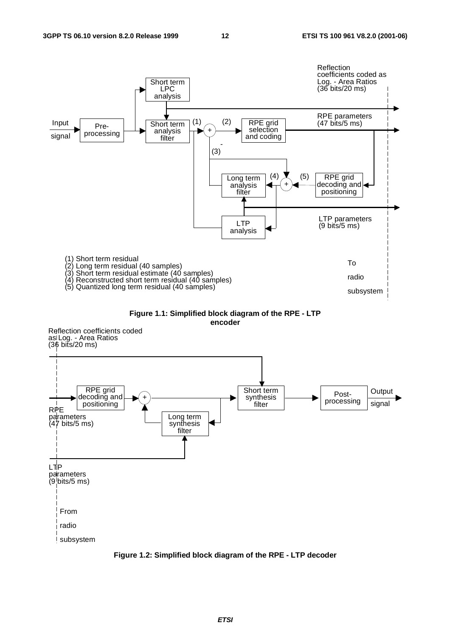







**Figure 1.2: Simplified block diagram of the RPE - LTP decoder**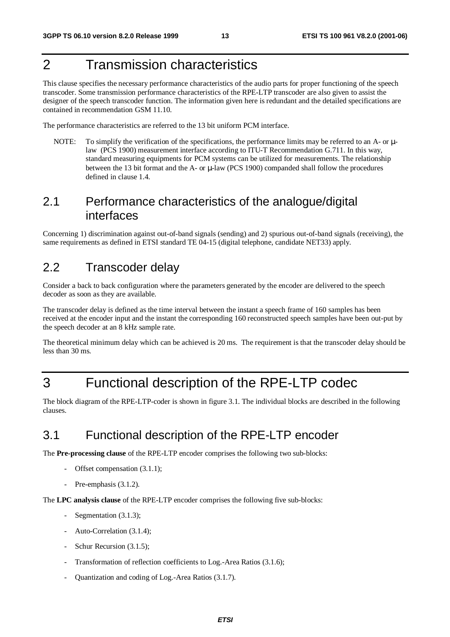### 2 Transmission characteristics

This clause specifies the necessary performance characteristics of the audio parts for proper functioning of the speech transcoder. Some transmission performance characteristics of the RPE-LTP transcoder are also given to assist the designer of the speech transcoder function. The information given here is redundant and the detailed specifications are contained in recommendation GSM 11.10.

The performance characteristics are referred to the 13 bit uniform PCM interface.

NOTE: To simplify the verification of the specifications, the performance limits may be referred to an A- or  $\mu$ law (PCS 1900) measurement interface according to ITU-T Recommendation G.711. In this way, standard measuring equipments for PCM systems can be utilized for measurements. The relationship between the 13 bit format and the A- or µ-law (PCS 1900) companded shall follow the procedures defined in clause 1.4.

### 2.1 Performance characteristics of the analogue/digital interfaces

Concerning 1) discrimination against out-of-band signals (sending) and 2) spurious out-of-band signals (receiving), the same requirements as defined in ETSI standard TE 04-15 (digital telephone, candidate NET33) apply.

### 2.2 Transcoder delay

Consider a back to back configuration where the parameters generated by the encoder are delivered to the speech decoder as soon as they are available.

The transcoder delay is defined as the time interval between the instant a speech frame of 160 samples has been received at the encoder input and the instant the corresponding 160 reconstructed speech samples have been out-put by the speech decoder at an 8 kHz sample rate.

The theoretical minimum delay which can be achieved is 20 ms. The requirement is that the transcoder delay should be less than 30 ms.

### 3 Functional description of the RPE-LTP codec

The block diagram of the RPE-LTP-coder is shown in figure 3.1. The individual blocks are described in the following clauses.

### 3.1 Functional description of the RPE-LTP encoder

The **Pre-processing clause** of the RPE-LTP encoder comprises the following two sub-blocks:

- Offset compensation (3.1.1);
- Pre-emphasis (3.1.2).

The **LPC analysis clause** of the RPE-LTP encoder comprises the following five sub-blocks:

- Segmentation (3.1.3);
- Auto-Correlation (3.1.4);
- Schur Recursion (3.1.5);
- Transformation of reflection coefficients to Log.-Area Ratios (3.1.6);
- Quantization and coding of Log.-Area Ratios (3.1.7).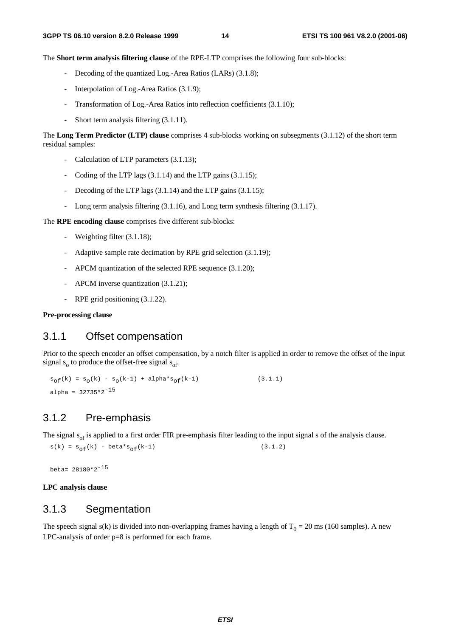The **Short term analysis filtering clause** of the RPE-LTP comprises the following four sub-blocks:

- Decoding of the quantized Log.-Area Ratios (LARs) (3.1.8);
- Interpolation of Log.-Area Ratios (3.1.9);
- Transformation of Log.-Area Ratios into reflection coefficients (3.1.10);
- Short term analysis filtering (3.1.11).

The **Long Term Predictor (LTP) clause** comprises 4 sub-blocks working on subsegments (3.1.12) of the short term residual samples:

- Calculation of LTP parameters (3.1.13);
- Coding of the LTP lags (3.1.14) and the LTP gains (3.1.15);
- Decoding of the LTP lags (3.1.14) and the LTP gains (3.1.15);
- Long term analysis filtering (3.1.16), and Long term synthesis filtering (3.1.17).

The **RPE encoding clause** comprises five different sub-blocks:

- Weighting filter (3.1.18);
- Adaptive sample rate decimation by RPE grid selection (3.1.19);
- APCM quantization of the selected RPE sequence (3.1.20);
- APCM inverse quantization (3.1.21);
- RPE grid positioning (3.1.22).

#### **Pre-processing clause**

#### 3.1.1 Offset compensation

Prior to the speech encoder an offset compensation, by a notch filter is applied in order to remove the offset of the input signal  $s_0$  to produce the offset-free signal  $s_{\rm of}$ .

 $s_{of}(k) = s_{0}(k) - s_{0}(k-1) + alpha* s_{of}(k-1)$  (3.1.1) alpha =  $32735*2^{-15}$ 

#### 3.1.2 Pre-emphasis

The signal  $s_{\alpha}$  is applied to a first order FIR pre-emphasis filter leading to the input signal s of the analysis clause.

 $s(k) = s_{of}(k) - beta * s_{of}(k-1)$  (3.1.2)

beta= 28180\*2-15

**LPC analysis clause**

#### 3.1.3 Segmentation

The speech signal s(k) is divided into non-overlapping frames having a length of  $T_0 = 20$  ms (160 samples). A new LPC-analysis of order p=8 is performed for each frame.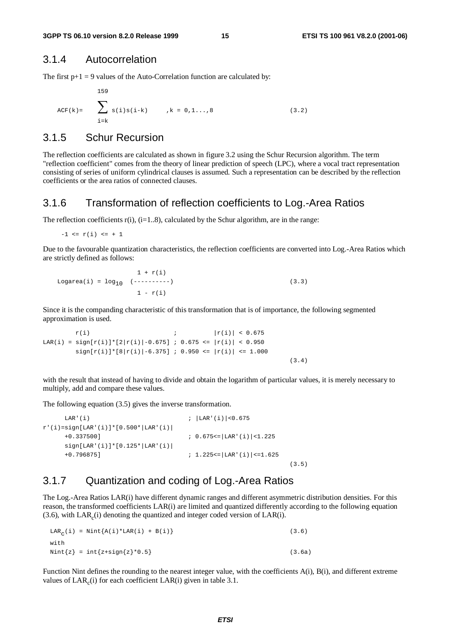#### 3.1.4 Autocorrelation

The first  $p+1 = 9$  values of the Auto-Correlation function are calculated by:

$$
ACF(k) = \sum_{i=k}^{159} s(i)s(i-k) \qquad k = 0, 1...8
$$
 (3.2)

#### 3.1.5 Schur Recursion

The reflection coefficients are calculated as shown in figure 3.2 using the Schur Recursion algorithm. The term "reflection coefficient" comes from the theory of linear prediction of speech (LPC), where a vocal tract representation consisting of series of uniform cylindrical clauses is assumed. Such a representation can be described by the reflection coefficients or the area ratios of connected clauses.

#### 3.1.6 Transformation of reflection coefficients to Log.-Area Ratios

The reflection coefficients  $r(i)$ ,  $(i=1..8)$ , calculated by the Schur algorithm, are in the range:

 $-1 \le r(i) \le +1$ 

Due to the favourable quantization characteristics, the reflection coefficients are converted into Log.-Area Ratios which are strictly defined as follows:

```
1 + r(i)Logarea(i) = \log_{10} (----------) (3.3)
             1 - r(i)
```
Since it is the companding characteristic of this transformation that is of importance, the following segmented approximation is used.

```
r(i) ; |r(i)| < 0.675LAR(i) = sign[r(i)]*[2|r(i)|-0.675] ; 0.675 <= |r(i)| < 0.950sign[r(i)]*[8|r(i)|-6.375] ; 0.950 <= |r(i)| <= 1.000
```
with the result that instead of having to divide and obtain the logarithm of particular values, it is merely necessary to multiply, add and compare these values.

(3.4)

The following equation (3.5) gives the inverse transformation.

```
LAR'(i) ; | LAR'(i) | <0.675
r'(i) = sign[ LAR'(i)] * [0.500 * | LAR'(i)]+0.337500] ; 0.675<=|LAR'(i)|<1.225
    sign[ LAR' (i)] * [0.125 * | LAR' (i)]+0.796875] ; 1.225<=|LAR'(i)|<=1.625
                                                     (3.5)
```
#### 3.1.7 Quantization and coding of Log.-Area Ratios

The Log.-Area Ratios LAR(i) have different dynamic ranges and different asymmetric distribution densities. For this reason, the transformed coefficients LAR(i) are limited and quantized differently according to the following equation  $(3.6)$ , with LAR $<sub>c</sub>(i)$  denoting the quantized and integer coded version of LAR $(i)$ .</sub>

| LAR <sub>C</sub> (i) = Nint $\{A(i) * LAR(i) + B(i)\}\$ | (3.6)  |
|---------------------------------------------------------|--------|
| with                                                    |        |
| Nint ${z}$ = int ${x+sign{z}*0.5}$                      | (3.6a) |

Function Nint defines the rounding to the nearest integer value, with the coefficients A(i), B(i), and different extreme values of  $LAR_c(i)$  for each coefficient  $LAR(i)$  given in table 3.1.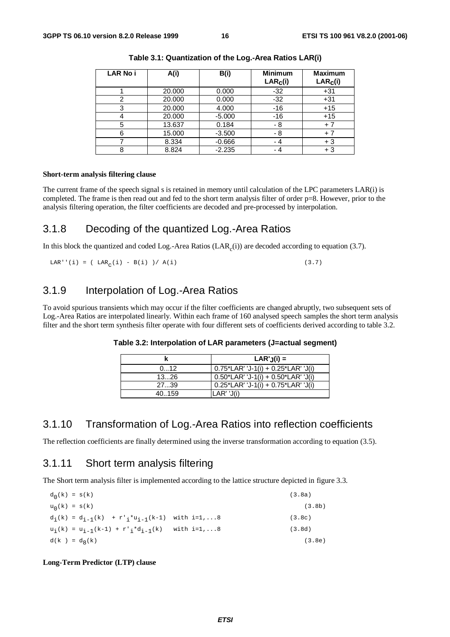| <b>LAR No i</b> | A(i)   | B(i)     | <b>Minimum</b><br>LAR <sub>c</sub> (i) | <b>Maximum</b><br>LAR <sub>c</sub> (i) |
|-----------------|--------|----------|----------------------------------------|----------------------------------------|
|                 | 20,000 | 0.000    | $-32$                                  | $+31$                                  |
| າ               | 20.000 | 0.000    | $-32$                                  | $+31$                                  |
| 3               | 20,000 | 4.000    | $-16$                                  | $+15$                                  |
|                 | 20,000 | $-5.000$ | -16                                    | $+15$                                  |
| 5               | 13.637 | 0.184    | - 8                                    | $+7$                                   |
| 6               | 15.000 | $-3.500$ | - 8                                    | $+7$                                   |
|                 | 8.334  | $-0.666$ | - 4                                    | $+3$                                   |
| 8               | 8.824  | $-2.235$ | - 4                                    | $+3$                                   |

**Table 3.1: Quantization of the Log.-Area Ratios LAR(i)**

#### **Short-term analysis filtering clause**

The current frame of the speech signal s is retained in memory until calculation of the LPC parameters LAR(i) is completed. The frame is then read out and fed to the short term analysis filter of order p=8. However, prior to the analysis filtering operation, the filter coefficients are decoded and pre-processed by interpolation.

#### 3.1.8 Decoding of the quantized Log.-Area Ratios

In this block the quantized and coded Log.-Area Ratios  $(LAR<sub>c</sub>(i))$  are decoded according to equation (3.7).

LAR''(i) = ( LAR<sub>c</sub>(i) - B(i) )/ A(i) (3.7)

#### 3.1.9 Interpolation of Log.-Area Ratios

To avoid spurious transients which may occur if the filter coefficients are changed abruptly, two subsequent sets of Log.-Area Ratios are interpolated linearly. Within each frame of 160 analysed speech samples the short term analysis filter and the short term synthesis filter operate with four different sets of coefficients derived according to table 3.2.

|        | $LAR'_{J}(i) =$                           |
|--------|-------------------------------------------|
| 012    | $0.75$ *LAR' 'J-1(i) + 0.25*LAR' 'J(i)    |
| 1326   | $0.50*$ LAR' 'J-1(i) + $0.50*$ LAR' 'J(i) |
| 2739   | $0.25$ *LAR' 'J-1(i) + 0.75*LAR' 'J(i)    |
| 40.159 | $LAR'$ ' $J(i)$                           |

**Table 3.2: Interpolation of LAR parameters (J=actual segment)**

#### 3.1.10 Transformation of Log.-Area Ratios into reflection coefficients

The reflection coefficients are finally determined using the inverse transformation according to equation (3.5).

#### 3.1.11 Short term analysis filtering

The Short term analysis filter is implemented according to the lattice structure depicted in figure 3.3.

 $d_0(k) = s(k)$  (3.8a)  $u_0(k) = s(k)$  (3.8b)  $d_i(k) = d_{i-1}(k) + r'_{i} * u_{i-1}(k-1)$  with  $i=1,...8$  (3.8c)  $u_i(k) = u_{i-1}(k-1) + r'_{i} * d_{i-1}(k)$  with  $i=1,...8$  (3.8d)  $d(k) = d_8(k)$  (3.8e)

**Long-Term Predictor (LTP) clause**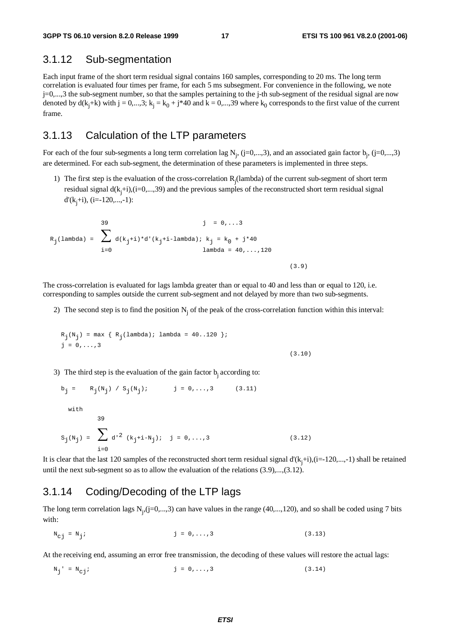#### 3.1.12 Sub-segmentation

Each input frame of the short term residual signal contains 160 samples, corresponding to 20 ms. The long term correlation is evaluated four times per frame, for each 5 ms subsegment. For convenience in the following, we note j=0,...,3 the sub-segment number, so that the samples pertaining to the j-th sub-segment of the residual signal are now denoted by  $d(k_j+k)$  with  $j = 0,...,3$ ;  $k_j = k_0 + j*40$  and  $k = 0,...,39$  where  $k_0$  corresponds to the first value of the current frame.

#### 3.1.13 Calculation of the LTP parameters

For each of the four sub-segments a long term correlation lag  $N_j$ , (j=0,...,3), and an associated gain factor  $b_j$ , (j=0,...,3) are determined. For each sub-segment, the determination of these parameters is implemented in three steps.

1) The first step is the evaluation of the cross-correlation  $R_j$ (lambda) of the current sub-segment of short term residual signal  $d(k_j+i)$ , (i=0,...,39) and the previous samples of the reconstructed short term residual signal d'(kj +i), (i=-120,...,-1):

$$
R_{j}(\text{lambda}) = \sum_{i=0}^{39} d(k_{j}+i)*d'(k_{j}+i-\text{lambda}) ; k_{j} = k_{0} + j*40
$$
\n
$$
\text{lambda} = 40, ..., 120
$$

The cross-correlation is evaluated for lags lambda greater than or equal to 40 and less than or equal to 120, i.e. corresponding to samples outside the current sub-segment and not delayed by more than two sub-segments.

2) The second step is to find the position  $N_i$  of the peak of the cross-correlation function within this interval:

(3.9)

$$
R_{j}(N_{j}) = \max \{ R_{j}(\text{lambda}) ; \text{lambda} = 40..120 \};
$$
  

$$
j = 0, ..., 3
$$
 (3.10)

3) The third step is the evaluation of the gain factor  $b_i$  according to:

$$
b_{j} = R_{j}(N_{j}) / S_{j}(N_{j}); \t j = 0,...,3 \t (3.11)
$$
  
with  

$$
39
$$
  

$$
S_{j}(N_{j}) = \sum_{i=0}^{3} d^{2} (k_{j} + i - N_{j}); \t j = 0,...,3 \t (3.12)
$$

It is clear that the last 120 samples of the reconstructed short term residual signal  $d'(k_j+i)$ , (i=-120,...,-1) shall be retained until the next sub-segment so as to allow the evaluation of the relations (3.9),...,(3.12).

#### 3.1.14 Coding/Decoding of the LTP lags

The long term correlation lags  $N_j$ ,  $(j=0,...,3)$  can have values in the range (40,..., 120), and so shall be coded using 7 bits with:

 $N_{c,i} = N_{i}$ ; j = 0,...,3 (3.13)

At the receiving end, assuming an error free transmission, the decoding of these values will restore the actual lags:

 $N_j' = N_{c,j};$  (3.14)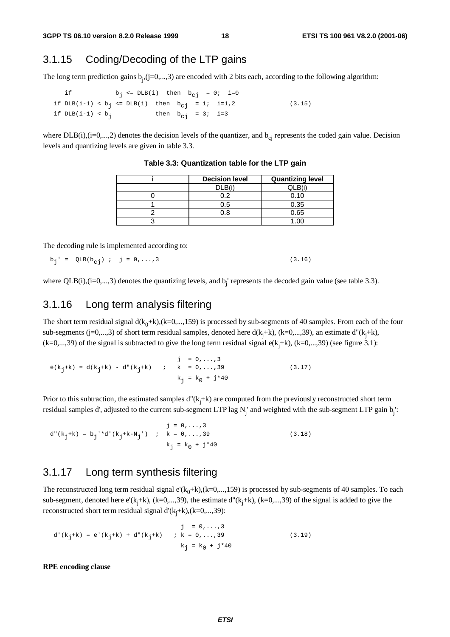### 3.1.15 Coding/Decoding of the LTP gains

The long term prediction gains  $b_j$ ,  $(j=0,...,3)$  are encoded with 2 bits each, according to the following algorithm:

if  $b_j \leq DLB(i)$  then  $b_{cj} = 0; i=0$ if  $DLB(i-1) < b_j \leq DLB(i)$  then  $b_{c,j} = i; i=1,2$  (3.15) if  $DLB(i-1) < b_j$  then  $b_{c,j} = 3; i=3$ 

where  $DLB(i),(i=0,...,2)$  denotes the decision levels of the quantizer, and  $b_{ci}$  represents the coded gain value. Decision levels and quantizing levels are given in table 3.3.

| <b>Decision level</b> | <b>Quantizing level</b> |
|-----------------------|-------------------------|
| DLB(i)                | ר IC                    |
| በ 2                   | 0.10                    |
| 0.5                   | 0.35                    |
| א ר                   | 0.65                    |
|                       |                         |

**Table 3.3: Quantization table for the LTP gain**

The decoding rule is implemented according to:

$$
b_{j} = QLB(b_{cj}) \; ; \; j = 0, ..., 3
$$
 (3.16)

where  $QLB(i),(i=0,...,3)$  denotes the quantizing levels, and  $b_j$  represents the decoded gain value (see table 3.3).

#### 3.1.16 Long term analysis filtering

The short term residual signal  $d(k_0+k)$ ,  $(k=0,...,159)$  is processed by sub-segments of 40 samples. From each of the four sub-segments (j=0,...,3) of short term residual samples, denoted here  $d(k_j+k)$ , (k=0,...,39), an estimate  $d''(k_j+k)$ ,  $(k=0,...,39)$  of the signal is subtracted to give the long term residual signal  $e(k_j+k)$ ,  $(k=0,...,39)$  (see figure 3.1):

 $j = 0, \ldots, 3$  $e(k_j+k) = d(k_j+k) - d''(k_j+k)$  ; k = 0,...,39 (3.17)  $k_j = k_0 + j*40$ 

Prior to this subtraction, the estimated samples d"(k<sub>j</sub>+k) are computed from the previously reconstructed short term residual samples d', adjusted to the current sub-segment LTP lag  $N_j$  and weighted with the sub-segment LTP gain b<sub>j</sub>:

 $j = 0, \ldots, 3$ d"(k<sub>j</sub>+k) = b<sub>j</sub>'\*d'(k<sub>j</sub>+k-N<sub>j</sub>') ; k = 0,...,39 (3.18)  $k_j = k_0 + j*40$ 

#### 3.1.17 Long term synthesis filtering

The reconstructed long term residual signal e'( $k_0+k$ ),( $k=0,...,159$ ) is processed by sub-segments of 40 samples. To each sub-segment, denoted here  $e'(k_j+k)$ ,  $(k=0,...,39)$ , the estimate  $d''(k_j+k)$ ,  $(k=0,...,39)$  of the signal is added to give the reconstructed short term residual signal d'(k<sub>j</sub>+k),(k=0,...,39):

$$
j = 0, ..., 3
$$
  
\n
$$
d'(k_{j} + k) = e'(k_{j} + k) + d''(k_{j} + k) \qquad i \quad k = 0, ..., 39
$$
  
\n
$$
k_{j} = k_{0} + j^{*}40
$$
\n(3.19)

**RPE encoding clause**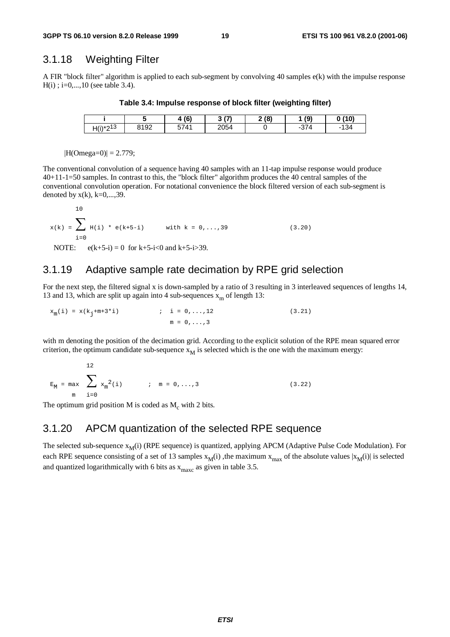#### 3.1.18 Weighting Filter

A FIR "block filter" algorithm is applied to each sub-segment by convolving 40 samples e(k) with the impulse response  $H(i)$ ; i=0,...,10 (see table 3.4).

**Table 3.4: Impulse response of block filter (weighting filter)**

|               |      | (6)  | $\mathbf{r}$<br>- | 2(8) | (9) | 0(10)                                   |
|---------------|------|------|-------------------|------|-----|-----------------------------------------|
| $H(i)*2^{13}$ | 8192 | 5741 | 2054              |      | 374 | 10/<br>$\overline{\phantom{0}}$<br>+ت ا |

 $|H(Omega=0)| = 2.779;$ 

 $\overline{1}$ 

The conventional convolution of a sequence having 40 samples with an 11-tap impulse response would produce 40+11-1=50 samples. In contrast to this, the "block filter" algorithm produces the 40 central samples of the conventional convolution operation. For notational convenience the block filtered version of each sub-segment is denoted by  $x(k)$ ,  $k=0,\ldots,39$ .

$$
x(k) = \sum_{i=0}^{10} H(i) * e(k+5-i)
$$
 with  $k = 0,...,39$  (3.20)  
NOTE:  $e(k+5-i) = 0$  for  $k+5-i<0$  and  $k+5-i>39$ .

#### 3.1.19 Adaptive sample rate decimation by RPE grid selection

For the next step, the filtered signal x is down-sampled by a ratio of 3 resulting in 3 interleaved sequences of lengths 14, 13 and 13, which are split up again into 4 sub-sequences  $x_m$  of length 13:

 $x_m(i) = x(k_i+m+3*i)$  ; i = 0,...,12 (3.21)  $m = 0, \ldots, 3$ 

with m denoting the position of the decimation grid. According to the explicit solution of the RPE mean squared error criterion, the optimum candidate sub-sequence  $x_M$  is selected which is the one with the maximum energy:

$$
E_M = \max_{m} \sum_{i=0}^{12} x_m^2(i) \qquad ; \quad m = 0, ..., 3
$$
 (3.22)

The optimum grid position M is coded as  $M_c$  with 2 bits.

### 3.1.20 APCM quantization of the selected RPE sequence

The selected sub-sequence  $x_M(i)$  (RPE sequence) is quantized, applying APCM (Adaptive Pulse Code Modulation). For each RPE sequence consisting of a set of 13 samples  $x_M(i)$ , the maximum  $x_{max}$  of the absolute values  $|x_M(i)|$  is selected and quantized logarithmically with 6 bits as  $x_{\text{maxc}}$  as given in table 3.5.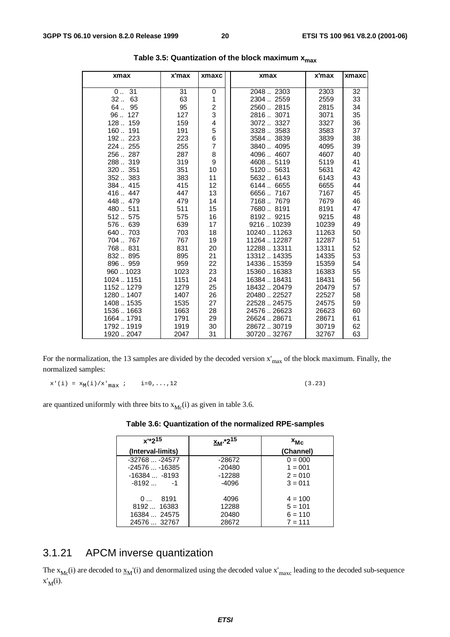| xmax                   | x'max        | xmaxc                        | xmax                       | x'max          | xmaxc    |
|------------------------|--------------|------------------------------|----------------------------|----------------|----------|
| 0.031                  |              |                              | 20482303                   | 2303           |          |
| 32<br>63               | 31<br>63     | 0<br>1                       | 2304  2559                 | 2559           | 32<br>33 |
| 64<br>95               | 95           |                              | 25602815                   | 2815           | 34       |
| 96127                  | 127          | $\overline{\mathbf{c}}$<br>3 | 28163071                   | 3071           | 35       |
| 128 159                | 159          | 4                            | 30723327                   | 3327           | 36       |
| 160 191                | 191          | 5                            | 33283583                   | 3583           | 37       |
| 192., 223              | 223          | 6                            | 3584  3839                 | 3839           | 38       |
| 224  255               | 255          | $\overline{7}$               | 38404095                   | 4095           | 39       |
| 256287                 | 287          | 8                            | 40964607                   | 4607           | 40       |
| 288319                 | 319          | 9                            | 4608  5119                 | 5119           | 41       |
| 320351                 | 351          | 10                           | 51205631                   | 5631           | 42       |
| 352383                 | 383          | 11                           | 5632 6143                  | 6143           | 43       |
| 384415                 | 415          | 12                           | 6144  6655                 | 6655           | 44       |
| 416447                 | 447          | 13                           | 66567167                   | 7167           | 45       |
| 448479                 | 479          | 14                           | 71687679                   | 7679           | 46       |
| 480511                 | 511          | 15                           | 76808191                   | 8191           | 47       |
| 512575                 | 575          | 16                           | 81929215                   | 9215           | 48       |
| 576639                 | 639          | 17                           | 921610239                  | 10239          | 49       |
| 640703                 | 703          | 18                           | 10240  11263               |                | 50       |
| 704  767               | 767          | 19                           | 11264  12287               | 11263<br>12287 | 51       |
| 768831                 | 831          | 20                           | 12288  13311               | 13311          | 52       |
| 832895                 | 895          | 21                           | 1331214335                 | 14335          | 53       |
| 896959                 | 959          | 22                           | 14336  15359               | 15359          | 54       |
| 9601023                | 1023         | 23                           | 15360  16383               | 16383          | 55       |
| 1024  1151             | 1151         | 24                           | 16384  18431               | 18431          | 56       |
|                        | 1279         |                              |                            |                | 57       |
| 11521279<br>12801407   | 1407         | 25<br>26                     | 1843220479<br>20480  22527 | 20479<br>22527 | 58       |
|                        | 1535         | 27                           | 22528  24575               | 24575          |          |
| 14081535<br>15361663   | 1663         | 28                           | 2457626623                 | 26623          | 59<br>60 |
|                        |              |                              |                            |                |          |
| 1664  1791<br>17921919 | 1791<br>1919 | 29<br>30                     | 26624  28671<br>2867230719 | 28671<br>30719 | 61<br>62 |
|                        |              |                              |                            |                |          |
| 19202047               | 2047         | 31                           | 30720  32767               | 32767          | 63       |

For the normalization, the 13 samples are divided by the decoded version  $x'_{max}$  of the block maximum. Finally, the normalized samples:

 $x^{\,\prime}\,(\,i\,) \ =\ x_{M}(\,i\,)\,/\,x^{\,\prime}\,_{\,max} \ \ i \qquad i=0\,,\,\ldots\,, 12 \tag{3.23}$ 

are quantized uniformly with three bits to  $x_{MC}(i)$  as given in table 3.6.

| Table 3.6: Quantization of the normalized RPE-samples |
|-------------------------------------------------------|
|-------------------------------------------------------|

| $x^{1*}2^{15}$<br>(Interval-limits) | <sub>2™</sub> *2 <sup>15</sup> | $x_{Mc}$<br>(Channel) |
|-------------------------------------|--------------------------------|-----------------------|
| $-32768 -24577$                     | -28672                         | $0 = 000$             |
| $-24576 -16385$                     | $-20480$                       | $1 = 001$             |
| $-16384 -8193$                      | $-12288$                       | $2 = 010$             |
| $-8192 -1$                          | $-4096$                        | $3 = 011$             |
| 8191<br>0                           | 4096                           | $4 = 100$             |
| 8192 16383                          | 12288                          | $5 = 101$             |
| 16384  24575                        | 20480                          | $6 = 110$             |
| 24576  32767                        | 28672                          | $7 = 111$             |

### 3.1.21 APCM inverse quantization

The  $x_{Mc}(i)$  are decoded to  $x_M'(i)$  and denormalized using the decoded value  $x'_{max}$  leading to the decoded sub-sequence  $x'_M(i)$ .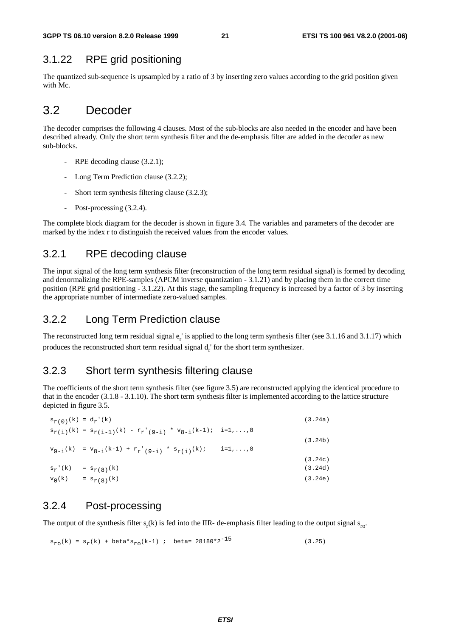### 3.1.22 RPE grid positioning

The quantized sub-sequence is upsampled by a ratio of 3 by inserting zero values according to the grid position given with Mc.

### 3.2 Decoder

The decoder comprises the following 4 clauses. Most of the sub-blocks are also needed in the encoder and have been described already. Only the short term synthesis filter and the de-emphasis filter are added in the decoder as new sub-blocks.

- RPE decoding clause (3.2.1);
- Long Term Prediction clause (3.2.2);
- Short term synthesis filtering clause (3.2.3);
- Post-processing  $(3.2.4)$ .

The complete block diagram for the decoder is shown in figure 3.4. The variables and parameters of the decoder are marked by the index r to distinguish the received values from the encoder values.

#### 3.2.1 RPE decoding clause

The input signal of the long term synthesis filter (reconstruction of the long term residual signal) is formed by decoding and denormalizing the RPE-samples (APCM inverse quantization - 3.1.21) and by placing them in the correct time position (RPE grid positioning - 3.1.22). At this stage, the sampling frequency is increased by a factor of 3 by inserting the appropriate number of intermediate zero-valued samples.

#### 3.2.2 Long Term Prediction clause

The reconstructed long term residual signal  $e_r$  is applied to the long term synthesis filter (see 3.1.16 and 3.1.17) which produces the reconstructed short term residual signal  $d_r$  for the short term synthesizer.

#### 3.2.3 Short term synthesis filtering clause

The coefficients of the short term synthesis filter (see figure 3.5) are reconstructed applying the identical procedure to that in the encoder (3.1.8 - 3.1.10). The short term synthesis filter is implemented according to the lattice structure depicted in figure 3.5.

|           | $s_{r(0)}(k) = d_r'(k)$                                                                                                       |                    | (3.24a) |
|-----------|-------------------------------------------------------------------------------------------------------------------------------|--------------------|---------|
|           | $s_{r(i)}(k) = s_{r(i-1)}(k) - r_{r'(9-i)} * v_{8-i}(k-1); i = 1,,8$                                                          |                    |         |
|           |                                                                                                                               |                    | (3.24b) |
|           | ${\tt v}_{9-i}(k) \ \ = \ {\tt v}_{8-i}(k-1) \ + \ {\tt r}_r \ \! \cdot \ \! \cdot \ (9-i) \ \ ^* \ \ {\tt s}_{r(i)}(k) \, ;$ | $i = 1, \ldots, 8$ |         |
|           |                                                                                                                               |                    | (3.24c) |
| $s_r'(k)$ | $= s_{r(8)}(k)$                                                                                                               |                    | (3.24d) |
| $v_0(k)$  | $= s_{r(8)}(k)$                                                                                                               |                    | (3.24e) |

#### 3.2.4 Post-processing

The output of the synthesis filter  $s_r(k)$  is fed into the IIR- de-emphasis filter leading to the output signal  $s_{\text{ro}}$ .

 $s_{r0}(k) = s_r(k) + \text{beta} * s_{r0}(k-1)$ ; beta= 28180\*2<sup>-15</sup> (3.25)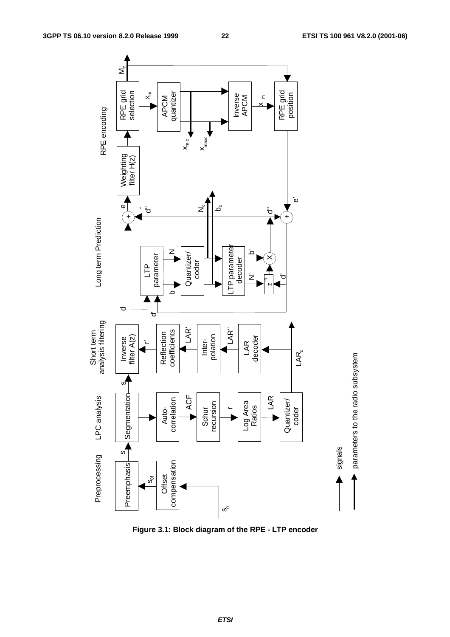

**Figure 3.1: Block diagram of the RPE - LTP encoder**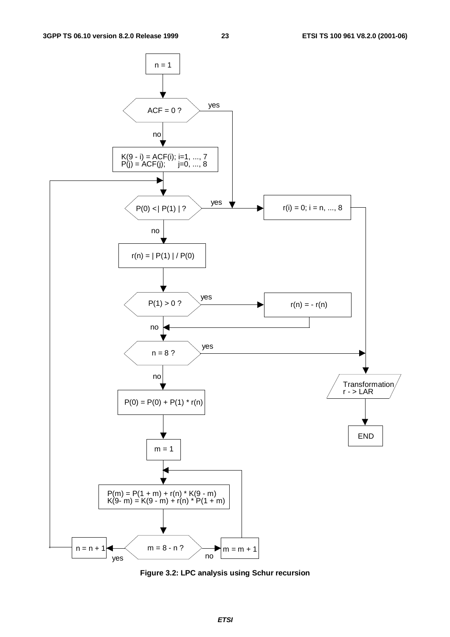

**Figure 3.2: LPC analysis using Schur recursion**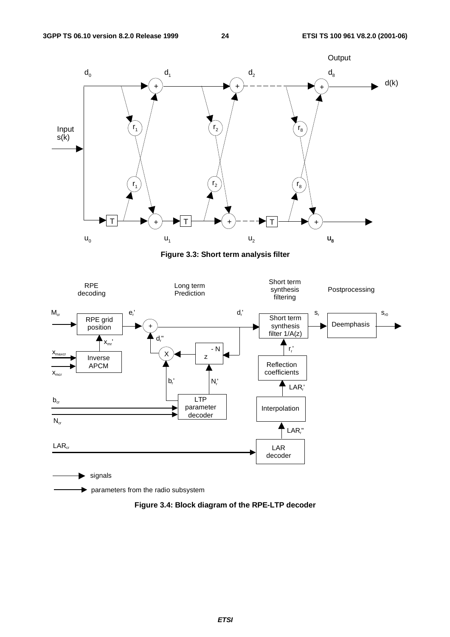

**Figure 3.3: Short term analysis filter**



**Figure 3.4: Block diagram of the RPE-LTP decoder**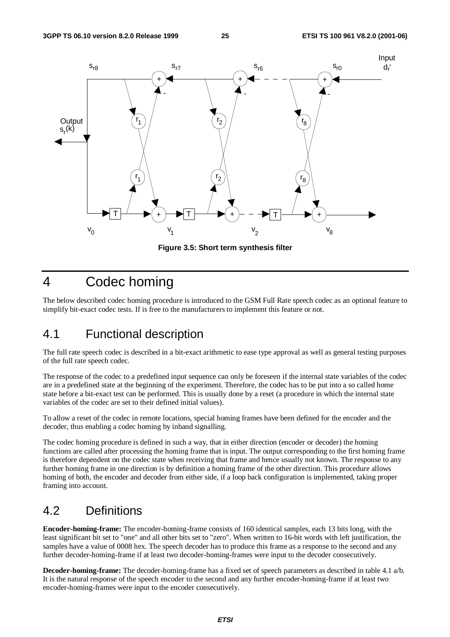

**Figure 3.5: Short term synthesis filter**

### 4 Codec homing

The below described codec homing procedure is introduced to the GSM Full Rate speech codec as an optional feature to simplify bit-exact codec tests. If is free to the manufacturers to implement this feature or not.

### 4.1 Functional description

The full rate speech codec is described in a bit-exact arithmetic to ease type approval as well as general testing purposes of the full rate speech codec.

The response of the codec to a predefined input sequence can only be foreseen if the internal state variables of the codec are in a predefined state at the beginning of the experiment. Therefore, the codec has to be put into a so called home state before a bit-exact test can be performed. This is usually done by a reset (a procedure in which the internal state variables of the codec are set to their defined initial values).

To allow a reset of the codec in remote locations, special homing frames have been defined for the encoder and the decoder, thus enabling a codec homing by inband signalling.

The codec homing procedure is defined in such a way, that in either direction (encoder or decoder) the homing functions are called after processing the homing frame that is input. The output corresponding to the first homing frame is therefore dependent on the codec state when receiving that frame and hence usually not known. The response to any further homing frame in one direction is by definition a homing frame of the other direction. This procedure allows homing of both, the encoder and decoder from either side, if a loop back configuration is implemented, taking proper framing into account.

### 4.2 Definitions

**Encoder-homing-frame:** The encoder-homing-frame consists of 160 identical samples, each 13 bits long, with the least significant bit set to "one" and all other bits set to "zero". When written to 16-bit words with left justification, the samples have a value of 0008 hex. The speech decoder has to produce this frame as a response to the second and any further decoder-homing-frame if at least two decoder-homing-frames were input to the decoder consecutively.

**Decoder-homing-frame:** The decoder-homing-frame has a fixed set of speech parameters as described in table 4.1 a/b. It is the natural response of the speech encoder to the second and any further encoder-homing-frame if at least two encoder-homing-frames were input to the encoder consecutively.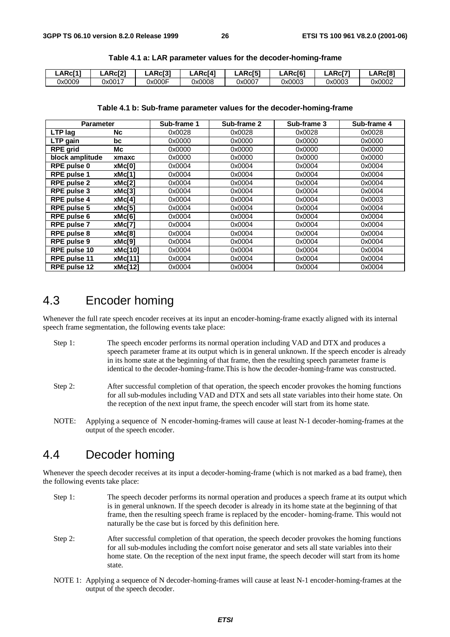| LARC[1] | <b>_ARc[21</b> | .ARc[3' | LARc <sup>[4]</sup> | LARC[5] | _ARc[61 | LARCI7 | ARc <sub>[8]</sub> |
|---------|----------------|---------|---------------------|---------|---------|--------|--------------------|
| 0x0009  | 0x0017         | Jx000F  | 0x0008              | 0x0007  | 0x0003  | 0x0003 | 0x0002             |

**Table 4.1 a: LAR parameter values for the decoder-homing-frame**

#### **Table 4.1 b: Sub-frame parameter values for the decoder-homing-frame**

| <b>Parameter</b>   |                | Sub-frame 1 | Sub-frame 2 | Sub-frame 3 | Sub-frame 4 |
|--------------------|----------------|-------------|-------------|-------------|-------------|
| LTP lag            | <b>Nc</b>      | 0x0028      | 0x0028      | 0x0028      | 0x0028      |
| LTP gain           | bc             | 0x0000      | 0x0000      | 0x0000      | 0x0000      |
| <b>RPE grid</b>    | Мc             | 0x0000      | 0x0000      | 0x0000      | 0x0000      |
| block amplitude    | xmaxc          | 0x0000      | 0x0000      | 0x0000      | 0x0000      |
| RPE pulse 0        | xMc[0]         | 0x0004      | 0x0004      | 0x0004      | 0x0004      |
| <b>RPE pulse 1</b> | xMc[1]         | 0x0004      | 0x0004      | 0x0004      | 0x0004      |
| <b>RPE pulse 2</b> | xMc[2]         | 0x0004      | 0x0004      | 0x0004      | 0x0004      |
| <b>RPE pulse 3</b> | xMc[3]         | 0x0004      | 0x0004      | 0x0004      | 0x0004      |
| <b>RPE pulse 4</b> | xMc[4]         | 0x0004      | 0x0004      | 0x0004      | 0x0003      |
| RPE pulse 5        | xMc[5]         | 0x0004      | 0x0004      | 0x0004      | 0x0004      |
| <b>RPE pulse 6</b> | xMc[6]         | 0x0004      | 0x0004      | 0x0004      | 0x0004      |
| <b>RPE pulse 7</b> | xMc[7]         | 0x0004      | 0x0004      | 0x0004      | 0x0004      |
| <b>RPE pulse 8</b> | xMc[8]         | 0x0004      | 0x0004      | 0x0004      | 0x0004      |
| <b>RPE pulse 9</b> | xMc[9]         | 0x0004      | 0x0004      | 0x0004      | 0x0004      |
| RPE pulse 10       | <b>xMc[10]</b> | 0x0004      | 0x0004      | 0x0004      | 0x0004      |
| RPE pulse 11       | xMc[11]        | 0x0004      | 0x0004      | 0x0004      | 0x0004      |
| RPE pulse 12       | xMc[12]        | 0x0004      | 0x0004      | 0x0004      | 0x0004      |

#### 4.3 Encoder homing

Whenever the full rate speech encoder receives at its input an encoder-homing-frame exactly aligned with its internal speech frame segmentation, the following events take place:

- Step 1: The speech encoder performs its normal operation including VAD and DTX and produces a speech parameter frame at its output which is in general unknown. If the speech encoder is already in its home state at the beginning of that frame, then the resulting speech parameter frame is identical to the decoder-homing-frame.This is how the decoder-homing-frame was constructed.
- Step 2: After successful completion of that operation, the speech encoder provokes the homing functions for all sub-modules including VAD and DTX and sets all state variables into their home state. On the reception of the next input frame, the speech encoder will start from its home state.
- NOTE: Applying a sequence of N encoder-homing-frames will cause at least N-1 decoder-homing-frames at the output of the speech encoder.

### 4.4 Decoder homing

Whenever the speech decoder receives at its input a decoder-homing-frame (which is not marked as a bad frame), then the following events take place:

- Step 1: The speech decoder performs its normal operation and produces a speech frame at its output which is in general unknown. If the speech decoder is already in its home state at the beginning of that frame, then the resulting speech frame is replaced by the encoder- homing-frame. This would not naturally be the case but is forced by this definition here.
- Step 2: After successful completion of that operation, the speech decoder provokes the homing functions for all sub-modules including the comfort noise generator and sets all state variables into their home state. On the reception of the next input frame, the speech decoder will start from its home state.
- NOTE 1: Applying a sequence of N decoder-homing-frames will cause at least N-1 encoder-homing-frames at the output of the speech decoder.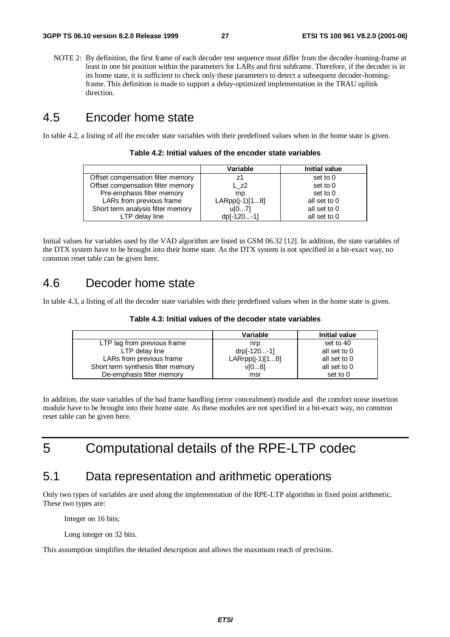NOTE 2: By definition, the first frame of each decoder test sequence must differ from the decoder-homing-frame at least in one bit position within the parameters for LARs and first subframe. Therefore, if the decoder is in its home state, it is sufficient to check only these parameters to detect a subsequent decoder-homingframe. This definition is made to support a delay-optimized implementation in the TRAU uplink direction.

### 4.5 Encoder home state

In table 4.2, a listing of all the encoder state variables with their predefined values when in the home state is given.

| Table 4.2: Initial values of the encoder state variables |  |  |  |  |
|----------------------------------------------------------|--|--|--|--|
|----------------------------------------------------------|--|--|--|--|

|                                   | Variable         | Initial value |
|-----------------------------------|------------------|---------------|
| Offset compensation filter memory | 71               | set to 0      |
| Offset compensation filter memory | L z2             | set to 0      |
| Pre-emphasis filter memory        | mp               | set to 0      |
| LARs from previous frame          | $LARP (j-1)[18]$ | all set to 0  |
| Short term analysis filter memory | u[07]            | all set to 0  |
| LTP delay line                    | dp[-120-1]       | all set to 0  |

Initial values for variables used by the VAD algorithm are listed in GSM 06.32 [12]. In addition, the state variables of the DTX system have to be brought into their home state. As the DTX system is not specified in a bit-exact way, no common reset table can be given here.

### 4.6 Decoder home state

In table 4.3, a listing of all the decoder state variables with their predefined values when in the home state is given.

| Table 4.3: Initial values of the decoder state variables |  |
|----------------------------------------------------------|--|
|----------------------------------------------------------|--|

|                                    | Variable          | <b>Initial value</b> |
|------------------------------------|-------------------|----------------------|
| LTP lag from previous frame        | nrp               | set to 40            |
| LTP delay line                     | drp[-120-1]       | all set to 0         |
| LARs from previous frame           | $LARrpp(i-1)[18]$ | all set to 0         |
| Short term synthesis filter memory | V[08]             | all set to 0         |
| De-emphasis filter memory          | msr               | set to 0             |

In addition, the state variables of the bad frame handling (error concealment) module and the comfort noise insertion module have to be brought into their home state. As these modules are not specified in a bit-exact way, no common reset table can be given here.

5 Computational details of the RPE-LTP codec

### 5.1 Data representation and arithmetic operations

Only two types of variables are used along the implementation of the RPE-LTP algorithm in fixed point arithmetic. These two types are:

Integer on 16 bits;

Long integer on 32 bits.

This assumption simplifies the detailed description and allows the maximum reach of precision.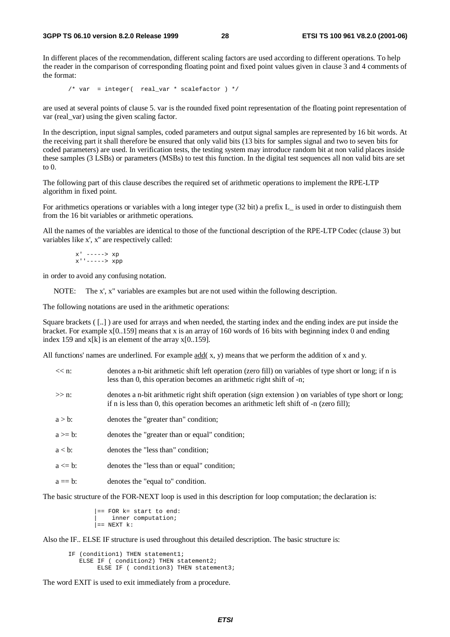In different places of the recommendation, different scaling factors are used according to different operations. To help the reader in the comparison of corresponding floating point and fixed point values given in clause 3 and 4 comments of the format:

/\* var = integer( real\_var \* scalefactor ) \*/

are used at several points of clause 5. var is the rounded fixed point representation of the floating point representation of var (real\_var) using the given scaling factor.

In the description, input signal samples, coded parameters and output signal samples are represented by 16 bit words. At the receiving part it shall therefore be ensured that only valid bits (13 bits for samples signal and two to seven bits for coded parameters) are used. In verification tests, the testing system may introduce random bit at non valid places inside these samples (3 LSBs) or parameters (MSBs) to test this function. In the digital test sequences all non valid bits are set to 0.

The following part of this clause describes the required set of arithmetic operations to implement the RPE-LTP algorithm in fixed point.

For arithmetics operations or variables with a long integer type (32 bit) a prefix L\_ is used in order to distinguish them from the 16 bit variables or arithmetic operations.

All the names of the variables are identical to those of the functional description of the RPE-LTP Codec (clause 3) but variables like x', x'' are respectively called:

 $x'$  ----->  $xp$ x''-----> xpp

in order to avoid any confusing notation.

NOTE: The x', x" variables are examples but are not used within the following description.

The following notations are used in the arithmetic operations:

Square brackets ( [..] ) are used for arrays and when needed, the starting index and the ending index are put inside the bracket. For example x[0..159] means that x is an array of 160 words of 16 bits with beginning index 0 and ending index 159 and  $x[k]$  is an element of the array  $x[0..159]$ .

All functions' names are underlined. For example  $\frac{add(x, y)}{y}$  means that we perform the addition of x and y.

| $<<$ n:      | denotes a n-bit arithmetic shift left operation (zero fill) on variables of type short or long; if n is<br>less than 0, this operation becomes an arithmetic right shift of -n;                     |
|--------------|-----------------------------------------------------------------------------------------------------------------------------------------------------------------------------------------------------|
| $>> n$ :     | denotes a n-bit arithmetic right shift operation (sign extension) on variables of type short or long;<br>if n is less than 0, this operation becomes an arithmetic left shift of $-$ n (zero fill); |
| $a > b$ :    | denotes the "greater than" condition;                                                                                                                                                               |
| $a \geq b$ : | denotes the "greater than or equal" condition;                                                                                                                                                      |
| $a < b$ :    | denotes the "less than" condition;                                                                                                                                                                  |
| $a \leq b$ : | denotes the "less than or equal" condition;                                                                                                                                                         |
| $a == b$ :   | denotes the "equal to" condition.                                                                                                                                                                   |
|              |                                                                                                                                                                                                     |

The basic structure of the FOR-NEXT loop is used in this description for loop computation; the declaration is:

```
|== FOR k= start to end:
     inner computation;
\vert == NEXT k:
```
Also the IF.. ELSE IF structure is used throughout this detailed description. The basic structure is:

IF (condition1) THEN statement1; ELSE IF ( condition2) THEN statement2; ELSE IF ( condition3) THEN statement3;

The word EXIT is used to exit immediately from a procedure.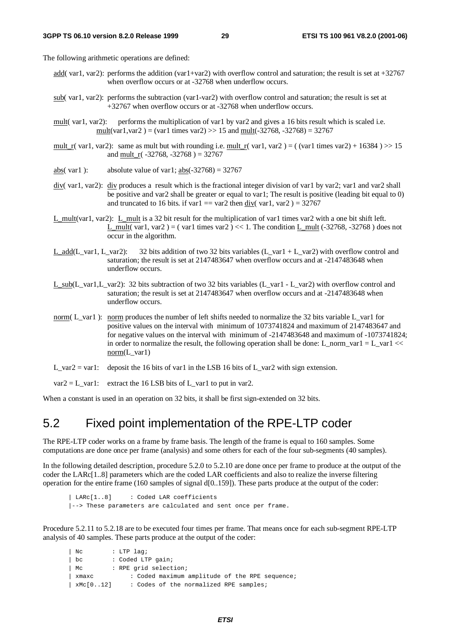The following arithmetic operations are defined:

- add( var1, var2): performs the addition (var1+var2) with overflow control and saturation; the result is set at  $+32767$ when overflow occurs or at -32768 when underflow occurs.
- sub( var1, var2): performs the subtraction (var1-var2) with overflow control and saturation; the result is set at +32767 when overflow occurs or at -32768 when underflow occurs.
- mult( var1, var2): performs the multiplication of var1 by var2 and gives a 16 bits result which is scaled i.e. mult(var1, var2) = (var1 times var2) >> 15 and mult(-32768, -32768) = 32767
- mult\_r( var1, var2): same as mult but with rounding i.e. mult\_r( var1, var2 ) = ( (var1 times var2) + 16384 ) >> 15 and mult  $r(-32768, -32768) = 32767$
- abs( var1 ): absolute value of var1; abs( $-32768$ ) = 32767
- div( var1, var2): div produces a result which is the fractional integer division of var1 by var2; var1 and var2 shall be positive and var2 shall be greater or equal to var1; The result is positive (leading bit equal to 0) and truncated to 16 bits. if var1 = var2 then div( var1, var2 ) =  $32767$
- L\_mult(var1, var2): L\_mult is a 32 bit result for the multiplication of var1 times var2 with a one bit shift left. L\_mult( var1, var2 ) = ( var1 times var2 ) << 1. The condition L\_mult (-32768, -32768 ) does not occur in the algorithm.
- L\_add(L\_var1, L\_var2): 32 bits addition of two 32 bits variables (L\_var1 + L\_var2) with overflow control and saturation; the result is set at 2147483647 when overflow occurs and at -2147483648 when underflow occurs.
- L\_sub(L\_var1,L\_var2): 32 bits subtraction of two 32 bits variables (L\_var1 L\_var2) with overflow control and saturation; the result is set at 2147483647 when overflow occurs and at -2147483648 when underflow occurs.
- norm( L\_var1 ): norm produces the number of left shifts needed to normalize the 32 bits variable L\_var1 for positive values on the interval with minimum of 1073741824 and maximum of 2147483647 and for negative values on the interval with minimum of -2147483648 and maximum of -1073741824; in order to normalize the result, the following operation shall be done: L\_norm\_var1 = L\_var1 << norm(L\_var1)
- L\_var2 = var1: deposit the 16 bits of var1 in the LSB 16 bits of L\_var2 with sign extension.
- $var2 = L_{var1}:$  extract the 16 LSB bits of L\_var1 to put in var2.

When a constant is used in an operation on 32 bits, it shall be first sign-extended on 32 bits.

#### 5.2 Fixed point implementation of the RPE-LTP coder

The RPE-LTP coder works on a frame by frame basis. The length of the frame is equal to 160 samples. Some computations are done once per frame (analysis) and some others for each of the four sub-segments (40 samples).

In the following detailed description, procedure 5.2.0 to 5.2.10 are done once per frame to produce at the output of the coder the LARc[1..8] parameters which are the coded LAR coefficients and also to realize the inverse filtering operation for the entire frame (160 samples of signal d[0..159]). These parts produce at the output of the coder:

| LARc[1..8] : Coded LAR coefficients |--> These parameters are calculated and sent once per frame.

Procedure 5.2.11 to 5.2.18 are to be executed four times per frame. That means once for each sub-segment RPE-LTP analysis of 40 samples. These parts produce at the output of the coder:

```
| Nc : LTP lag;
| bc : Coded LTP gain;
| Mc : RPE grid selection;
| xmaxc : Coded maximum amplitude of the RPE sequence;
| xMc[0..12] : Codes of the normalized RPE samples;
```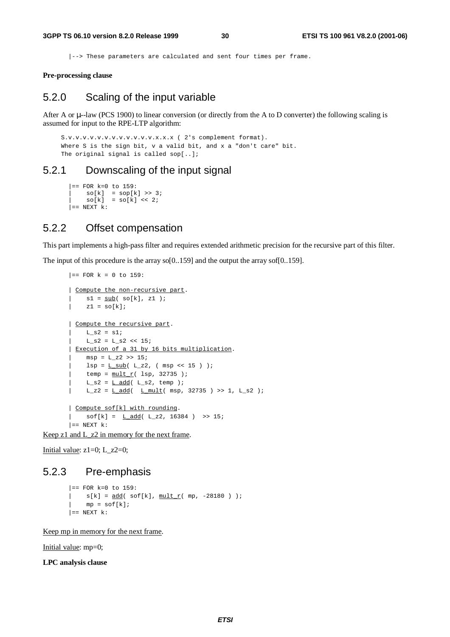|--> These parameters are calculated and sent four times per frame.

**Pre-processing clause**

#### 5.2.0 Scaling of the input variable

After A or u--law (PCS 1900) to linear conversion (or directly from the A to D converter) the following scaling is assumed for input to the RPE-LTP algorithm:

```
S.v.v.v.v.v.v.v.v.v.v.v.v.x.x.x ( 2's complement format).
Where S is the sign bit, v a valid bit, and x a "don't care" bit.
The original signal is called sop[..];
```
#### 5.2.1 Downscaling of the input signal

```
|== FOR k=0 to 159:
| so[k] = sop[k] >> 3;
|\quad so[k] = so[k] << 2;| == NEXT k:
```
#### 5.2.2 Offset compensation

This part implements a high-pass filter and requires extended arithmetic precision for the recursive part of this filter.

The input of this procedure is the array so[0..159] and the output the array sof[0..159].

```
| == FOR k = 0 to 159:
| Compute the non-recursive part.
    sl = sub( so[k], z1 );
| z1 = so[k];
| Compute the recursive part.
    L_S2 = s1;L_S2 = L_S2 \ll 15;| Execution of a 31 by 16 bits multiplication.
  msp = L_22 \gg 15;lsp = L_sub( L_z2, (msp << 15 ) );
| temp = \frac{\text{mult}}{\text{r}}( lsp, 32735 );
L_s^2 = L_d d/d (L_s^2, temp);
\lvert L_z2 = <u>L add</u>( L mult( msp, 32735 ) >> 1, L_s2 );
| Compute sof[k] with rounding.
| \text{soft}[k] = \text{L} \text{ add}( L_22, 16384 ) >> 15;| == NEXT k:
```
Keep z1 and L\_z2 in memory for the next frame.

Initial value:  $z1=0$ ; L\_z2=0;

#### 5.2.3 Pre-emphasis

```
| == FOR k=0 to 159:
| s[k] = \frac{add}{} sof[k], \frac{mult}{r} mp, -28180 ) );
    mp = soft[k];| == NEXT k:
```
Keep mp in memory for the next frame.

Initial value: mp=0;

**LPC analysis clause**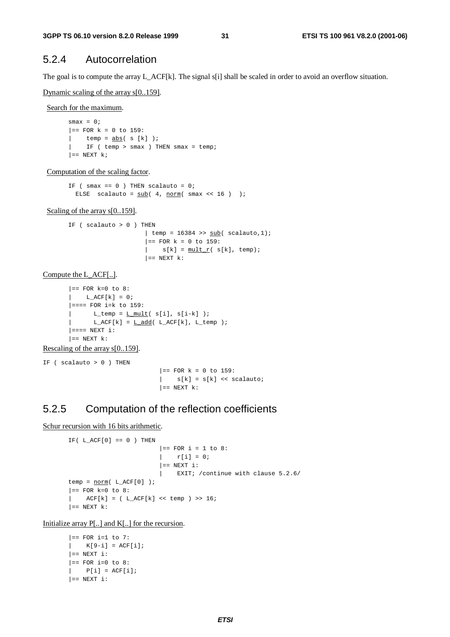#### 5.2.4 Autocorrelation

The goal is to compute the array L\_ACF[k]. The signal s[i] shall be scaled in order to avoid an overflow situation.

Dynamic scaling of the array s[0..159].

Search for the maximum.

 $smax = 0;$  $|==$  FOR  $k = 0$  to 159:  $|$  temp = abs(s  $[k]$ ); | IF ( temp > smax ) THEN smax = temp;  $| ==$  NEXT k;

Computation of the scaling factor.

IF (  $smax == 0$  ) THEN scalauto =  $0;$ ELSE scalauto =  $\frac{\text{sub}}{4}$ ,  $\frac{\text{norm}}{2}$  smax << 16 ) );

Scaling of the array s[0..159].

IF ( $scalauto > 0$ ) THEN  $\vert$  temp = 16384 >>  $\frac{\text{sub}}{\text{sub}}$  scalauto, 1);  $|=$  FOR  $k = 0$  to 159:  $| \text{s[k]} = \text{mult}_r(\text{s[k]}, \text{temp});$  $| ==$  NEXT  $k$ :

Compute the L\_ACF[..].

```
| == FOR k=0 to 8:
L_ACF[k] = 0;|=== FOR i=k to 159:
      L_t = m p = L_m \text{milt}(\ s[i], s[i-k]);
      L_ACF[k] = L_Add( L_ACF[k], L_temp );
| == == NEWT i:| == NEXT k:
```
Rescaling of the array s[0..159].

IF ( $scalauto > 0$ ) THEN

```
|= FOR k = 0 to 159:
| s[k] = s[k] << scalauto;
| == NEXT k:
```
#### 5.2.5 Computation of the reflection coefficients

Schur recursion with 16 bits arithmetic.

```
IF( L_ACF[0] == 0 ) THEN|== FOR i = 1 to 8:
                        |r[i] = 0;| == NEXT i:
                        | EXIT; /continue with clause 5.2.6/
temp = norm(L_ACF[0]);
| == FOR k=0 to 8:ACF[k] = ( L_ACF[k] << temp ) >> 16;| == NEXT k:
```
Initialize array P[..] and K[..] for the recursion.

```
| == FOR i=1 to 7:
| K[9-i] = ACF[i];| == NEXT i:
| == FOR i=0 to 8:
| P[i] = ACF[i];| == NEXT i:
```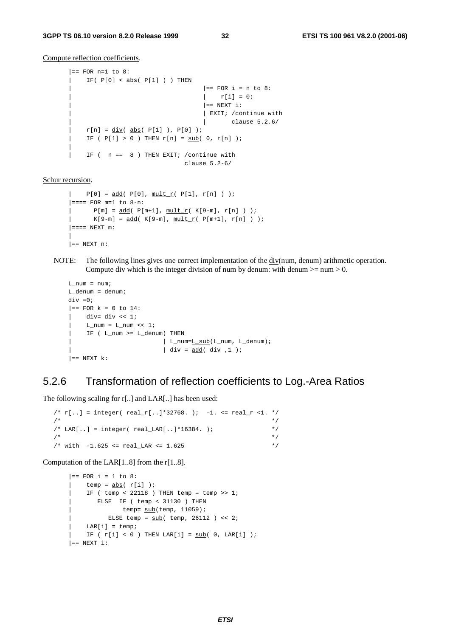Compute reflection coefficients.

```
| == FOR n=1 to 8:
    IF(P[0] < abs (P[1]) ) THEN
                                          | == FOR i = n to 8:
                                          |r[i] = 0;| == NEXT i:
                                          | EXIT; / continue with
                                          | | clause 5.2.6/
| r[n] = \underline{div}(\underline{abs}(\underline{P[1]}), \underline{P[0]});\overline{I} IF ( P[1] > 0 ) THEN r[n] = sub( 0, r[n] );
|
| IF ( n == 8 ) THEN EXIT; /continue with
                                   clause 5.2-6/
```
Schur recursion.

```
P[0] = \underline{add}(\ P[0], \underline{mult} r(\ P[1], r[n]) );
| == = FOR m=1 to 8-n:
| P[m] = \underline{add}(\ P[m+1], \underline{mult} r(\ K[9-m], r[n]) );
| K[9-m] = \frac{add( K[9-m], \mu L_r( P[m+1], r[n]) )}{i}| == = NEW m:
|
| == NEXT n:
```
NOTE: The following lines gives one correct implementation of the div(num, denum) arithmetic operation. Compute div which is the integer division of num by denum: with denum  $>=$  num  $>$  0.

```
L num = num;L_denum = denum;
div =0;|== FOR k = 0 to 14:
| div = div \ll 1;| L_num = L_num << 1;
| IF ( L_num >= L_denum) THEN
                        | L_num=<u>L_sub</u>(L_num, L_denum);
                          | div = add ( div , 1 );
| == NEXT k:
```
#### 5.2.6 Transformation of reflection coefficients to Log.-Area Ratios

The following scaling for r[..] and LAR[..] has been used:

```
/* r[...] = integer( real_r[...] * 32768. ) ; -1. <= real_r < 1. * /\frac{1}{\sqrt{2}} , the set of the set of the set of the set of the set of the set of the set of the set of the set of the set of the set of the set of the set of the set of the set of the set of the set of the set of the set 
/* LAR[..] = integer( real LAR[..]*16384. ); */
\frac{1}{\sqrt{2}} , the set of the set of the set of the set of the set of the set of the set of the set of the set of the set of the set of the set of the set of the set of the set of the set of the set of the set of the set 
/* with -1.625 \le \text{real} LAR \le 1.625 */
```
Computation of the LAR[1..8] from the r[1..8].

```
|== FOR i = 1 to 8:
| temp = \frac{abs}{r[i]} );
| IF ( temp < 22118 ) THEN temp = temp >> 1;
| ELSE IF ( temp < 31130 ) THEN
| temp= sub(temp, 11059);
         ELSE temp = sub( temp, 26112 ) << 2;
| LAR[i] = temp;
   IF ( r[i] < 0 ) THEN LAR[i] = sub( 0, LAR[i] );
| == NEXT i:
```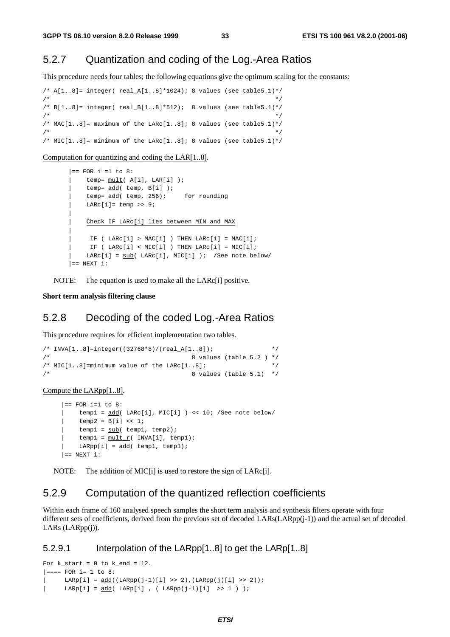#### 5.2.7 Quantization and coding of the Log.-Area Ratios

This procedure needs four tables; the following equations give the optimum scaling for the constants:

```
/* A[1..8]= integer( real_A[1..8]*1024); 8 values (see table5.1)*/
\frac{1}{\sqrt{2}} , the set of the set of the set of the set of the set of the set of the set of the set of the set of the set of the set of the set of the set of the set of the set of the set of the set of the set of the set 
/* B[1..8] = \text{integer}(\text{real_B}[1..8]*512); 8 values (see table5.1)*/\frac{1}{\sqrt{2}} , the set of the set of the set of the set of the set of the set of the set of the set of the set of the set of the set of the set of the set of the set of the set of the set of the set of the set of the set 
/* MAC[1..8]= maximum of the LARc[1..8]; 8 values (see table5.1)*/
\frac{1}{\sqrt{2}} , the set of the set of the set of the set of the set of the set of the set of the set of the set of the set of the set of the set of the set of the set of the set of the set of the set of the set of the set 
/* MIC[1..8]= minimum of the LARc[1..8]; 8 values (see table5.1)*/
```
Computation for quantizing and coding the LAR[1..8].

```
|== FOR i =1 to 8:
   temp= mult( A[i], LAR[i] );
   temp= add( temp, B[i] );
   temp= add( temp, 256); for rounding
    LARC[i] = temp \gg 9;|
    | Check IF LARc[i] lies between MIN and MAX
|
    IF ( LARC[i] > MAC[i] ) THEN LARC[i] = MAC[i];IF ( LARC[i] < MIC[i] ) THEN LARC[i] = MIC[i];LARC[i] = sub(LARC[i], MIC[i]); /See note below/
| == NEXT i:
```
NOTE: The equation is used to make all the LARc<sup>[1]</sup> positive.

#### **Short term analysis filtering clause**

#### 5.2.8 Decoding of the coded Log.-Area Ratios

This procedure requires for efficient implementation two tables.

```
/* INVA[1..8]=integer((32768*8)/(real_A[1..8]); */
\frac{1}{x} and \frac{1}{x} 8 values (table 5.2 ) \frac{x}{x}/* MIC[1..8]=minimum value of the LARc[1..8]; */\frac{1}{x} a values (table 5.1) \frac{x}{x}
```
Compute the LARpp[1..8].

```
|== FOR i=1 to 8:
| temp1 = add( LARc[i], MIC[i] ) << 10; /See note below/
     temp2 = B[i] \ll 1;temp1 = sub(\text{temp1}, \text{temp2});temp1 = mult_r( INVA[i], temp1);\text{LARP}[i] = \text{add}( \text{temp1}, \text{temp1});
| == NEXT i:
```
NOTE: The addition of MIC[i] is used to restore the sign of LARc[i].

#### 5.2.9 Computation of the quantized reflection coefficients

Within each frame of 160 analysed speech samples the short term analysis and synthesis filters operate with four different sets of coefficients, derived from the previous set of decoded LARs(LARpp(j-1)) and the actual set of decoded LARs (LARpp(j)).

#### 5.2.9.1 Interpolation of the LARpp[1..8] to get the LARp[1..8]

```
For k_{\text{start}} = 0 to k_{\text{end}} = 12.
|=== FOR i= 1 to 8:
| LARp[i] = add((LARpp(j-1)[i] >> 2),(LARpp(j)[i] >> 2));
| LARp[i] = add( LARp[i] , ( LARpp(j-1)[i] >> 1 ) );
```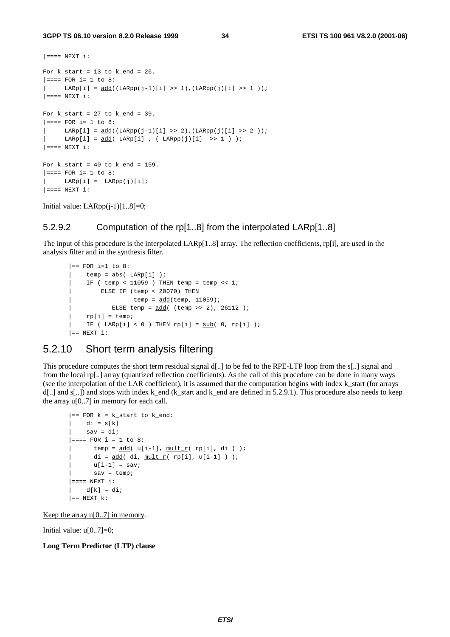```
| == == NEW T i:For k\_start = 13 to k\_end = 26.
|=== FOR i= 1 to 8:
| LARp[i] = add((LARpp(j-1)[i] >> 1),(LARpp(j)[i] >> 1 ));
| == == NEWT i:For k_start = 27 to k_end = 39.
|=== FOR i= 1 to 8:
      LARP[i] = add((LARP(j-1)[i] >> 2), (LARP(j)[i] >> 2);
     \text{LARP}[i] = \text{add}(\text{LARP}[i], (\text{LARP}[j][i]) \Rightarrow 1) );
| == == NEWT i:For k\_start = 40 to k\_end = 159.
|=== FOR i= 1 to 8:
| LARp[i] = LARpp(i)[i];
|=== NEXT i:
```
Initial value:  $LARpp(i-1)[1..8]=0;$ 

#### 5.2.9.2 Computation of the rp[1..8] from the interpolated LARp[1..8]

The input of this procedure is the interpolated LARp[1..8] array. The reflection coefficients, rp[i], are used in the analysis filter and in the synthesis filter.

```
| == FOR i=1 to 8:
    temp = abs( LARP[i]);
     IF ( temp < 11059 ) THEN temp = temp << 1;
        | ELSE IF (temp < 20070) THEN
                  temp = add(temp, 11059);
           ELSE temp = \frac{\text{add}}{\text{cod}} (temp >> 2), 26112 );
| rp[i] = temp;
   IF ( LARp[i] < 0 ) THEN rp[i] = sub( 0, rp[i] );
| == NEXT i:
```
#### 5.2.10 Short term analysis filtering

This procedure computes the short term residual signal d[..] to be fed to the RPE-LTP loop from the s[..] signal and from the local rp[..] array (quantized reflection coefficients). As the call of this procedure can be done in many ways (see the interpolation of the LAR coefficient), it is assumed that the computation begins with index k\_start (for arrays  $d[...]$  and s[..]) and stops with index k\_end (k\_start and k\_end are defined in 5.2.9.1). This procedure also needs to keep the array  $u[0..7]$  in memory for each call.

```
|== FOR k = k_start to k_end:
   di = s[k]sav = di;|=== FOR i = 1 to 8:
     temp = add( u[i-1], mult r( rpli], di );
      di = add( di, mult_r( rp[i], u[i-1] ) );
      u[i-1] = sav;sav = temp;| == == NEW T i:| d[k] = di;| == NEXT k:
```
Keep the array  $u[0..7]$  in memory.

Initial value:  $u[0..7]=0$ ;

**Long Term Predictor (LTP) clause**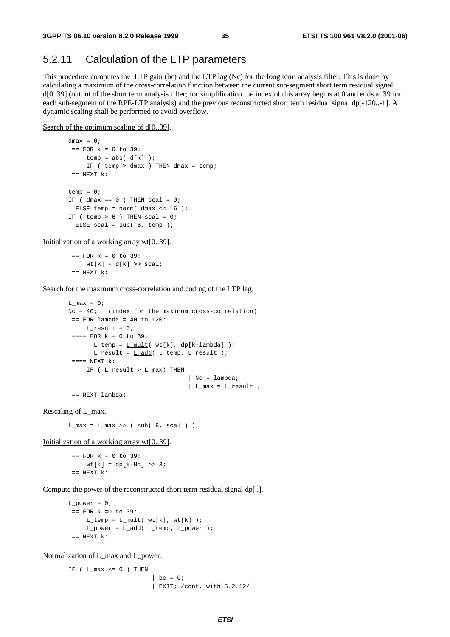#### 5.2.11 Calculation of the LTP parameters

This procedure computes the LTP gain (bc) and the LTP lag (Nc) for the long term analysis filter. This is done by calculating a maximum of the cross-correlation function between the current sub-segment short term residual signal d[0..39] (output of the short term analysis filter; for simplification the index of this array begins at 0 and ends at 39 for each sub-segment of the RPE-LTP analysis) and the previous reconstructed short term residual signal dp[-120..-1]. A dynamic scaling shall be performed to avoid overflow.

Search of the optimum scaling of d[0..39].

```
dmax = 0:
|= FOR k = 0 to 39:
  temp = abs(d[k]);
    IF ( temp > dmax ) THEN dmax = temp;
| == NEXT k:
temp = 0;
IF ( dmax == 0 ) THEN scal = 0;
 ELSE temp = <u>norm</u> ( dmax << 16 );</u>
IF ( temp > 6 ) THEN scal = 0;
 ELSE scal = sub(6, temp);
```
Initialization of a working array wt[0..39].

 $| ==$  FOR  $k = 0$  to 39: |  $wt[k] = d[k] \gg scal;$  $| ==$  NEXT  $k$ :

Search for the maximum cross-correlation and coding of the LTP lag.

```
L max = 0;Nc = 40; (index for the maximum cross-correlation)
|== FOR lambda = 40 to 120:
   L_{result} = 0;| == = FOR k = 0 to 39:
      L_ttemp = L mult( wt[k], dp[k-lambda] );
      L_result = L add( L_ttemp, L_result );
| ==="pre"> NEXT k:
   | IF ( L_result > L_max) THEN
                                  | Nc = lambda;
                                  \vert L_max = L_result ;
|== NEXT lambda:
```
Rescaling of L\_max.

 $L_max = L_max \gg (sub(6, scal))$ ;

Initialization of a working array wt[0..39].

 $|==$  FOR  $k = 0$  to 39: |  $wt[k] = dp[k-NC] >> 3;$  $| ==$  NEXT  $k$ :

Compute the power of the reconstructed short term residual signal dp[..].

```
L power = 0;|== FOR k = 0 to 39:
   L_t temp = L mult( wt[k], wt[k] );
     L\_power = L\_add( L\_temp, L\_power );
| == NEXT k:
```
Normalization of L\_max and L\_power.

IF ( $L_max \le 0$ ) THEN  $\vert$  bc = 0; | EXIT; /cont. with 5.2.12/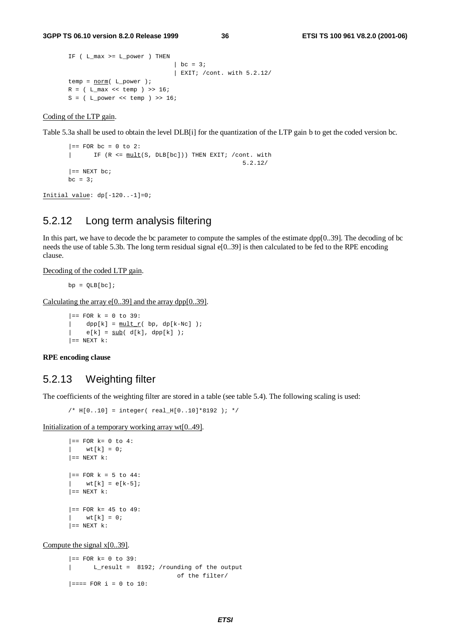```
IF ( L_max >= L_power ) THEN
                              | bc = 3;| EXIT; /cont. with 5.2.12/
temp = <u>norm</u> (L_power );
R = ( L max \lt temp ) >> 16;
S = (L) power \ll temp) >> 16;
```
Coding of the LTP gain.

Table 5.3a shall be used to obtain the level DLB[i] for the quantization of the LTP gain b to get the coded version bc.

```
|= FOR bc = 0 to 2:
| IF (R <= mult(S, DLB[bc])) THEN EXIT; /cont. with
                                              5.2.12/
| == NEXT bc;
bc = 3i
```
Initial value: dp[-120..-1]=0;

#### 5.2.12 Long term analysis filtering

In this part, we have to decode the bc parameter to compute the samples of the estimate dpp[0..39]. The decoding of bc needs the use of table 5.3b. The long term residual signal e[0..39] is then calculated to be fed to the RPE encoding clause.

Decoding of the coded LTP gain.

 $bp = OLB[bc];$ 

Calculating the array  $e[0..39]$  and the array dpp $[0..39]$ .

 $|==$  FOR  $k = 0$  to 39:  $dpp[k] = \text{mult } r($  bp,  $dp[k-Nc]$  );  $|$  e[k] = <u>sub</u>(d[k], dpp[k] );  $| ==$  NEXT  $k$ :

**RPE encoding clause**

#### 5.2.13 Weighting filter

The coefficients of the weighting filter are stored in a table (see table 5.4). The following scaling is used:

/\* H[0..10] = integer( real\_H[0..10]\*8192 ); \*/

Initialization of a temporary working array wt[0..49].

```
| == FOR k= 0 to 4:
   wt[k] = 0;| == NEXT k:
|= FOR k = 5 to 44:
  wt[k] = e[k-5];| == NEXT k:
|== FOR k= 45 to 49:
  wt[k] = 0;| == NEXT k:
```
Compute the signal x[0..39].

 $|==$  FOR  $k= 0$  to 39: | L\_result = 8192; /rounding of the output of the filter/  $|===$  FOR i = 0 to 10: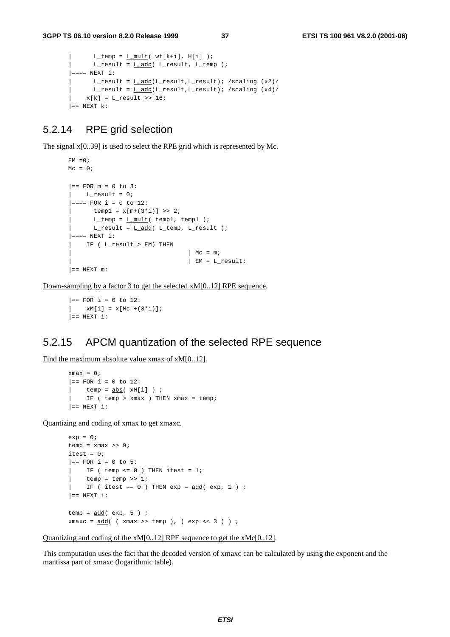```
L_t temp = L mult( wt[k+i], H[i] );
     L_rresult = L_d d/d( L_result, L_temp );
| == = NEW + 1:
| L_result = L_add(L_result,L_result); /scaling (x2)/
      L_rresult = L_d d(L_r)result,L_result); /scaling (x4)/
    x[k] = L result >> 16;
| == NEXT k:
```
#### 5.2.14 RPE grid selection

The signal x[0..39] is used to select the RPE grid which is represented by Mc.

```
EM = 0;Mc = 0;|= FOR m = 0 to 3:
L_{result} = 0;|=== FOR i = 0 to 12:
      temp1 = x[m+(3 * i)] >> 2;L_ttemp = L_mult( temp1, temp1 );
| L_rresult = L add( L_t temp, L_rresult );
| == = NEWT i:| IF ( L_result > EM) THEN
                                 | Mc = m;
                                | EM = L_result;
| == NEXT m:
```
Down-sampling by a factor 3 to get the selected xM[0..12] RPE sequence.

```
|= FOR i = 0 to 12:
| xM[i] = x[Mc +(3*i)];
| == NEXT i:
```
#### 5.2.15 APCM quantization of the selected RPE sequence

Find the maximum absolute value xmax of xM[0..12].

```
xmax = 0;
|== FOR i = 0 to 12:
| temp = \frac{abs}{d} xM[i] i| IF ( temp > xmax ) THEN xmax = temp;
|= NEXT i:
```
Quantizing and coding of xmax to get xmaxc.

```
exp = 0;temp = xmax >> 9;
itest = 0;|== FOR i = 0 to 5:
| IF ( temp <= 0 ) THEN itest = 1;
     temp = temp >> 1;IF ( itest == 0 ) THEN exp = \frac{\text{add}}{\text{odd}} ( exp, 1 ) ;
|= NEXT i:
temp = add( exp, 5 ) ;
xmaxc = add( (xmax >> temp), (exp << 3));
```
Quantizing and coding of the xM[0..12] RPE sequence to get the xMc[0..12].

This computation uses the fact that the decoded version of xmaxc can be calculated by using the exponent and the mantissa part of xmaxc (logarithmic table).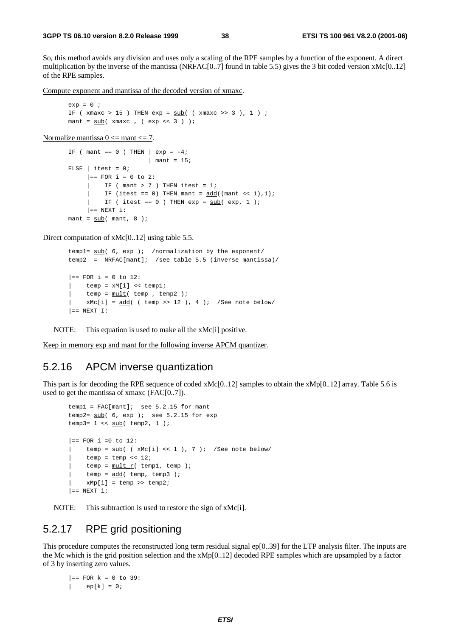So, this method avoids any division and uses only a scaling of the RPE samples by a function of the exponent. A direct multiplication by the inverse of the mantissa (NRFAC[0..7] found in table 5.5) gives the 3 bit coded version xMc[0..12] of the RPE samples.

Compute exponent and mantissa of the decoded version of xmaxc.

```
ext{e} = 0 ;
IF (xmaxc > 15) THEN exp = sub( (xmaxc >> 3), 1);
mant = sub( xmaxc , ( exp << 3 ) );
```
Normalize mantissa  $0 \le$  mant $\le$  7.

```
IF ( mant == 0 ) THEN \vert exp = -4;
                             | mant = 15;
ELSE | itest = 0;
      |= FOR i = 0 to 2:
           IF ( mant > 7 ) THEN itest = 1;
      | IF (itest == 0) THEN mant = \frac{\text{add}}{\text{mod}}(\text{mant} \ll 1), 1);| IF ( itest == 0 ) THEN exp = \frac{\text{sub}}{\text{sub}} ( exp, 1 );
      | == NEXT i:
mant = \frac{\text{sub}}{\text{sub}} ( mant, 8 );
```
Direct computation of xMc[0..12] using table 5.5.

```
templ= sub( 6, exp ); /normalization by the exponent/
temp2 = NRFAC[mant]; /see table 5.5 (inverse mantissa)/
|== FOR i = 0 to 12:
    | temp = xM[i] << temp1;
    temp = mult( temp , temp 2 );
    xMc[i] = add( ( temp >> 12 ), 4 ); /See note below/
| == NEXT I:
```
NOTE: This equation is used to make all the xMc[i] positive.

Keep in memory exp and mant for the following inverse APCM quantizer.

#### 5.2.16 APCM inverse quantization

This part is for decoding the RPE sequence of coded xMc[0..12] samples to obtain the xMp[0..12] array. Table 5.6 is used to get the mantissa of xmaxc (FAC[0..7]).

```
temp1 = FAC[mant]; see 5.2.15 for mant
temp2= \frac{\text{sub}}{6}, exp ); see 5.2.15 for exp
temp3= 1 \lt \lt \underline{\text{sub}}( \text{temp2}, 1);
| == FOR i =0 to 12:
     temp = sub( ( xMc[i] << 1 ), 7 ); /See note below/
     temp = temp \lt\lt 12;temp = mult r( temp1, temp);temp = add( temp, temp3 );
     xMp[i] = temp \gg temp2;| == NEXT i;
```
NOTE: This subtraction is used to restore the sign of xMc[i].

#### 5.2.17 RPE grid positioning

This procedure computes the reconstructed long term residual signal ep[0..39] for the LTP analysis filter. The inputs are the Mc which is the grid position selection and the  $xMp[0..12]$  decoded RPE samples which are upsampled by a factor of 3 by inserting zero values.

 $|==$  FOR  $k = 0$  to 39:  $|$  ep[k] = 0;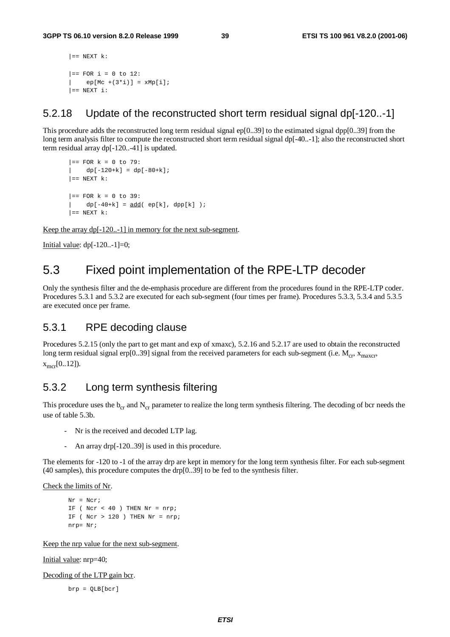```
| == NEXT k:
|= FOR i = 0 to 12:
   ep[Mc + (3'i)] = xMp[i];| == NEXT i:
```
#### 5.2.18 Update of the reconstructed short term residual signal dp[-120..-1]

This procedure adds the reconstructed long term residual signal ep $[0..39]$  to the estimated signal dpp $[0..39]$  from the long term analysis filter to compute the reconstructed short term residual signal dp[-40..-1]; also the reconstructed short term residual array dp[-120..-41] is updated.

```
| == FOR k = 0 to 79:
| dp[-120+k] = dp[-80+k];
| == NEXT k:
|== FOR k = 0 to 39:
| dp[-40+k] = add(-ep[k], dpp[k]);
| == NEXT k:
```
Keep the array dp[-120..-1] in memory for the next sub-segment.

Initial value:  $dp[-120..-1]=0;$ 

### 5.3 Fixed point implementation of the RPE-LTP decoder

Only the synthesis filter and the de-emphasis procedure are different from the procedures found in the RPE-LTP coder. Procedures 5.3.1 and 5.3.2 are executed for each sub-segment (four times per frame). Procedures 5.3.3, 5.3.4 and 5.3.5 are executed once per frame.

#### 5.3.1 RPE decoding clause

Procedures 5.2.15 (only the part to get mant and exp of xmaxc), 5.2.16 and 5.2.17 are used to obtain the reconstructed long term residual signal erp[0..39] signal from the received parameters for each sub-segment (i.e.  $M_{cr}$ ,  $x_{maxcr}$ ,  $x_{\text{mer}}[0..12]$ ).

#### 5.3.2 Long term synthesis filtering

This procedure uses the  $b_{cr}$  and  $N_{cr}$  parameter to realize the long term synthesis filtering. The decoding of bcr needs the use of table 5.3b.

- Nr is the received and decoded LTP lag.
- An array drp[-120..39] is used in this procedure.

The elements for -120 to -1 of the array drp are kept in memory for the long term synthesis filter. For each sub-segment (40 samples), this procedure computes the drp[0..39] to be fed to the synthesis filter.

Check the limits of Nr.

 $Nr = Ncr$ ; IF (  $Ncr < 40$  ) THEN  $Nr = nrp$ ; IF (  $Ncr > 120$  ) THEN  $Nr = nrp$ ; nrp= Nr;

Keep the nrp value for the next sub-segment.

Initial value: nrp=40;

Decoding of the LTP gain bcr.

brp = QLB[bcr]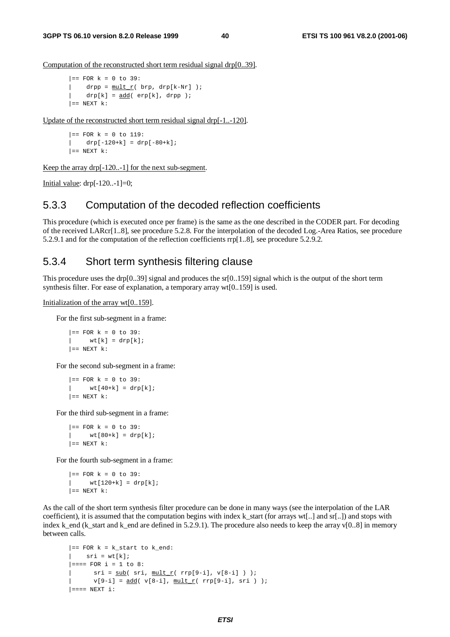Computation of the reconstructed short term residual signal drp[0..39].

```
|== FOR k = 0 to 39:
| drpp = \frac{\text{mult }r}{\text{mult }r} brp, drp[k-Nr] );
      drp[k] = \underline{add}(\text{erp}[k], \text{drpp });| == NEXT k:
```
Update of the reconstructed short term residual signal drp[-1..-120].

 $|==$  FOR  $k = 0$  to 119:  $|$  drp $[-120+k] =$  drp $[-80+k]$ ;  $| ==$  NEXT  $k$ :

Keep the array drp[-120..-1] for the next sub-segment.

Initial value:  $drp[-120...-1]=0;$ 

#### 5.3.3 Computation of the decoded reflection coefficients

This procedure (which is executed once per frame) is the same as the one described in the CODER part. For decoding of the received LARcr[1..8], see procedure 5.2.8. For the interpolation of the decoded Log.-Area Ratios, see procedure 5.2.9.1 and for the computation of the reflection coefficients rrp[1..8], see procedure 5.2.9.2.

#### 5.3.4 Short term synthesis filtering clause

This procedure uses the drp[0..39] signal and produces the sr[0..159] signal which is the output of the short term synthesis filter. For ease of explanation, a temporary array wt[0..159] is used.

Initialization of the array wt[0..159].

For the first sub-segment in a frame:

 $|==$  FOR  $k = 0$  to 39:  $|$  wt[k] = drp[k];  $| ==$  NEXT  $k$ :

For the second sub-segment in a frame:

 $|==$  FOR  $k = 0$  to 39:  $wt[40+k] = drp[k];$  $| ==$  NEXT  $k$ :

For the third sub-segment in a frame:

 $|==$  FOR  $k = 0$  to 39:  $|$  wt[80+k] = drp[k];  $| ==$  NEXT  $k$ :

For the fourth sub-segment in a frame:

```
|== FOR k = 0 to 39:
   wt[120+k] = drp[k];| == NEXT k:
```
As the call of the short term synthesis filter procedure can be done in many ways (see the interpolation of the LAR coefficient), it is assumed that the computation begins with index k\_start (for arrays wt[..] and sr[..]) and stops with index k\_end (k\_start and k\_end are defined in 5.2.9.1). The procedure also needs to keep the array v[0..8] in memory between calls.

```
|== FOR k = k_start to k_end:
   sri = wt[k];|=== FOR i = 1 to 8:
| sri = <u>sub</u>( sri, mult_r( rrp[9-i], v[8-i] ) );
      v[9-i] = add( v[8-i], minit_r( rrp[9-i], sri ) );
| == = NEW i:
```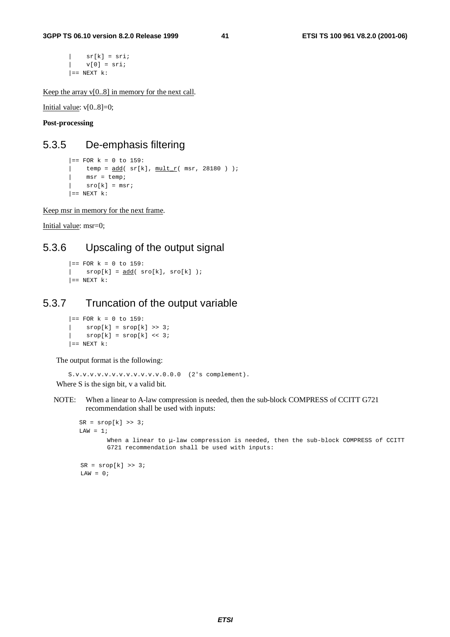$|$  sr[k] = sri;  $| v[0] = sri;$  $| ==$  NEXT  $k$ :

Keep the array  $v[0..8]$  in memory for the next call.

Initial value: v[0..8]=0;

**Post-processing**

#### 5.3.5 De-emphasis filtering

```
|= FOR k = 0 to 159:
| temp = \frac{\text{add}}{\text{sr}[k]}, mult r( msr, 28180 ) );
    msr = temp;sro[k] = msri| == NEXT k:
```
Keep msr in memory for the next frame.

Initial value: msr=0;

#### 5.3.6 Upscaling of the output signal

```
| == FOR k = 0 to 159:
  srop[k] = add(sro[k], sro[k]);
| == NEXT k:
```
#### 5.3.7 Truncation of the output variable

 $|=$  FOR  $k = 0$  to 159:  $|$  srop[k] = srop[k] >> 3;  $srop[k] = srop[k] \ll 3;$  $| ==$  NEXT  $k$ :

The output format is the following:

```
S.v.v.v.v.v.v.v.v.v.v.v.v.0.0.0 (2's complement).
Where S is the sign bit, v a valid bit.
```
NOTE: When a linear to A-law compression is needed, then the sub-block COMPRESS of CCITT G721 recommendation shall be used with inputs:

```
SR = srop[k] \gg 3;LAW = 1;When a linear to \mu-law compression is needed, then the sub-block COMPRESS of CCITT
        G721 recommendation shall be used with inputs:
SR = \text{stop}[k] \gg 3;LAW = 0;
```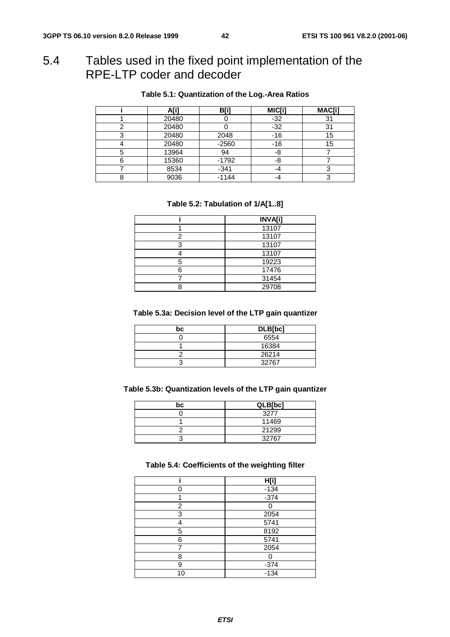### 5.4 Tables used in the fixed point implementation of the RPE-LTP coder and decoder

| A[i]  | B[i     | MIC[i] | MAC[i] |
|-------|---------|--------|--------|
| 20480 |         | $-32$  |        |
| 20480 |         | $-32$  | 31     |
| 20480 | 2048    | $-16$  | 15     |
| 20480 | $-2560$ | -16    | 15     |
| 13964 | 94      | -8     |        |
| 15360 | $-1792$ | -8     |        |
| 8534  | $-341$  | -4     |        |
| 9036  | $-1144$ | -4     |        |

#### **Table 5.1: Quantization of the Log.-Area Ratios**

#### **Table 5.2: Tabulation of 1/A[1..8]**

|   | <b>INVA[i]</b> |
|---|----------------|
|   | 13107          |
|   | 13107          |
| ◠ | 13107          |
|   | 13107          |
| 5 | 19223          |
|   | 17476          |
|   | 31454          |
|   | 29708          |

#### **Table 5.3a: Decision level of the LTP gain quantizer**

| bc | DLB[bc] |  |  |
|----|---------|--|--|
|    | 6554    |  |  |
|    | 16384   |  |  |
|    | 26214   |  |  |
|    | 32767   |  |  |

#### **Table 5.3b: Quantization levels of the LTP gain quantizer**

| bc | QLB[bc] |  |
|----|---------|--|
|    | 3277    |  |
|    | 11469   |  |
|    | 21299   |  |
|    | 32767   |  |

#### **Table 5.4: Coefficients of the weighting filter**

|    | H[i]   |
|----|--------|
|    | $-134$ |
|    | $-374$ |
| 2  |        |
| 3  | 2054   |
| Δ  | 5741   |
| 5  | 8192   |
| 6  | 5741   |
| 7  | 2054   |
| 8  | Ω      |
| 9  | $-374$ |
| 10 | $-134$ |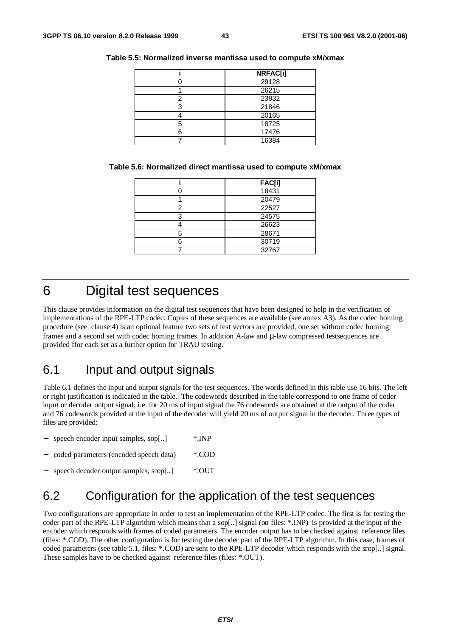|   | <b>NRFAC[i]</b> |
|---|-----------------|
|   | 29128           |
|   | 26215           |
|   | 23832           |
| ◠ | 21846           |
|   | 20165           |
|   | 18725           |
|   | 17476           |
|   | 16384           |

#### **Table 5.5: Normalized inverse mantissa used to compute xM/xmax**

| Table 5.6: Normalized direct mantissa used to compute xM/xmax |  |  |  |  |
|---------------------------------------------------------------|--|--|--|--|
|---------------------------------------------------------------|--|--|--|--|

|   | <b>FAC[i]</b> |
|---|---------------|
|   | 18431         |
|   | 20479         |
| ⌒ | 22527         |
| っ | 24575         |
|   | 26623         |
|   | 28671         |
|   | 30719         |
|   | 32767         |

### 6 Digital test sequences

This clause provides information on the digital test sequences that have been designed to help in the verification of implementations of the RPE-LTP codec. Copies of these sequences are available (see annex A3). As the codec homing procedure (see clause 4) is an optional feature two sets of test vectors are provided, one set without codec homing frames and a second set with codec homing frames. In addition A-law and µ-law compressed testsequences are provided ffor each set as a further option for TRAU testing.

### 6.1 Input and output signals

Table 6.1 defines the input and output signals for the test sequences. The words defined in this table use 16 bits. The left or right justification is indicated in the table. The codewords described in the table correspond to one frame of coder input or decoder output signal; i.e. for 20 ms of input signal the 76 codewords are obtained at the output of the coder and 76 codewords provided at the input of the decoder will yield 20 ms of output signal in the decoder. Three types of files are provided:

| $\overline{\phantom{0}}$ | speech encoder input samples, sop[]    | $*$ INP |
|--------------------------|----------------------------------------|---------|
| $\overline{\phantom{0}}$ | coded parameters (encoded speech data) | *.COD   |
|                          | speech decoder output samples, srop[]  | $*$ OUT |

### 6.2 Configuration for the application of the test sequences

Two configurations are appropriate in order to test an implementation of the RPE-LTP codec. The first is for testing the coder part of the RPE-LTP algorithm which means that a sop[..] signal (on files: \*.INP) is provided at the input of the encoder which responds with frames of coded parameters. The encoder output has to be checked against reference files (files: \*.COD). The other configuration is for testing the decoder part of the RPE-LTP algorithm. In this case, frames of coded parameters (see table 5.1, files: \*.COD) are sent to the RPE-LTP decoder which responds with the srop[..] signal. These samples have to be checked against reference files (files: \*.OUT).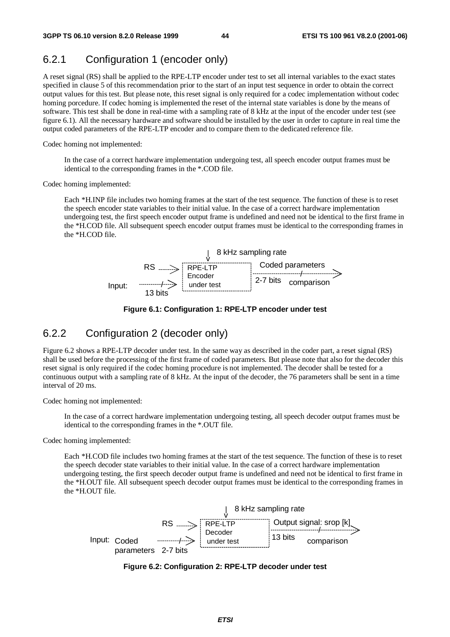#### 6.2.1 Configuration 1 (encoder only)

A reset signal (RS) shall be applied to the RPE-LTP encoder under test to set all internal variables to the exact states specified in clause 5 of this recommendation prior to the start of an input test sequence in order to obtain the correct output values for this test. But please note, this reset signal is only required for a codec implementation without codec homing porcedure. If codec homing is implemented the reset of the internal state variables is done by the means of software. This test shall be done in real-time with a sampling rate of 8 kHz at the input of the encoder under test (see figure 6.1). All the necessary hardware and software should be installed by the user in order to capture in real time the output coded parameters of the RPE-LTP encoder and to compare them to the dedicated reference file.

Codec homing not implemented:

In the case of a correct hardware implementation undergoing test, all speech encoder output frames must be identical to the corresponding frames in the \*.COD file.

Codec homing implemented:

Each \*H.INP file includes two homing frames at the start of the test sequence. The function of these is to reset the speech encoder state variables to their initial value. In the case of a correct hardware implementation undergoing test, the first speech encoder output frame is undefined and need not be identical to the first frame in the \*H.COD file. All subsequent speech encoder output frames must be identical to the corresponding frames in the \*H.COD file.





#### 6.2.2 Configuration 2 (decoder only)

Figure 6.2 shows a RPE-LTP decoder under test. In the same way as described in the coder part, a reset signal (RS) shall be used before the processing of the first frame of coded parameters. But please note that also for the decoder this reset signal is only required if the codec homing procedure is not implemented. The decoder shall be tested for a continuous output with a sampling rate of 8 kHz. At the input of the decoder, the 76 parameters shall be sent in a time interval of 20 ms.

Codec homing not implemented:

In the case of a correct hardware implementation undergoing testing, all speech decoder output frames must be identical to the corresponding frames in the \*.OUT file.

Codec homing implemented:

Each \*H.COD file includes two homing frames at the start of the test sequence. The function of these is to reset the speech decoder state variables to their initial value. In the case of a correct hardware implementation undergoing testing, the first speech decoder output frame is undefined and need not be identical to first frame in the \*H.OUT file. All subsequent speech decoder output frames must be identical to the corresponding frames in the \*H.OUT file.



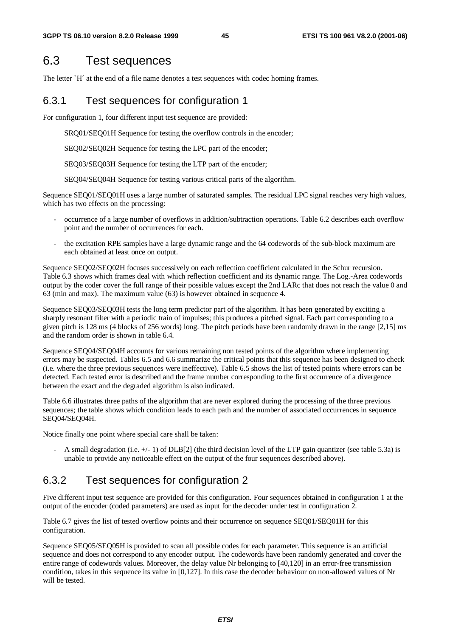### 6.3 Test sequences

The letter `H´ at the end of a file name denotes a test sequences with codec homing frames.

#### 6.3.1 Test sequences for configuration 1

For configuration 1, four different input test sequence are provided:

SRQ01/SEQ01H Sequence for testing the overflow controls in the encoder;

SEQ02/SEQ02H Sequence for testing the LPC part of the encoder;

SEQ03/SEQ03H Sequence for testing the LTP part of the encoder;

SEQ04/SEQ04H Sequence for testing various critical parts of the algorithm.

Sequence SEQ01/SEQ01H uses a large number of saturated samples. The residual LPC signal reaches very high values, which has two effects on the processing:

- occurrence of a large number of overflows in addition/subtraction operations. Table 6.2 describes each overflow point and the number of occurrences for each.
- the excitation RPE samples have a large dynamic range and the 64 codewords of the sub-block maximum are each obtained at least once on output.

Sequence SEQ02/SEQ02H focuses successively on each reflection coefficient calculated in the Schur recursion. Table 6.3 shows which frames deal with which reflection coefficient and its dynamic range. The Log.-Area codewords output by the coder cover the full range of their possible values except the 2nd LARc that does not reach the value 0 and 63 (min and max). The maximum value (63) is however obtained in sequence 4.

Sequence SEQ03/SEQ03H tests the long term predictor part of the algorithm. It has been generated by exciting a sharply resonant filter with a periodic train of impulses; this produces a pitched signal. Each part corresponding to a given pitch is 128 ms (4 blocks of 256 words) long. The pitch periods have been randomly drawn in the range [2,15] ms and the random order is shown in table 6.4.

Sequence SEQ04/SEQ04H accounts for various remaining non tested points of the algorithm where implementing errors may be suspected. Tables 6.5 and 6.6 summarize the critical points that this sequence has been designed to check (i.e. where the three previous sequences were ineffective). Table 6.5 shows the list of tested points where errors can be detected. Each tested error is described and the frame number corresponding to the first occurrence of a divergence between the exact and the degraded algorithm is also indicated.

Table 6.6 illustrates three paths of the algorithm that are never explored during the processing of the three previous sequences; the table shows which condition leads to each path and the number of associated occurrences in sequence SEQ04/SEQ04H.

Notice finally one point where special care shall be taken:

A small degradation (i.e.  $+/-$  1) of DLB[2] (the third decision level of the LTP gain quantizer (see table 5.3a) is unable to provide any noticeable effect on the output of the four sequences described above).

#### 6.3.2 Test sequences for configuration 2

Five different input test sequence are provided for this configuration. Four sequences obtained in configuration 1 at the output of the encoder (coded parameters) are used as input for the decoder under test in configuration 2.

Table 6.7 gives the list of tested overflow points and their occurrence on sequence SEQ01/SEQ01H for this configuration.

Sequence SEQ05/SEQ05H is provided to scan all possible codes for each parameter. This sequence is an artificial sequence and does not correspond to any encoder output. The codewords have been randomly generated and cover the entire range of codewords values. Moreover, the delay value Nr belonging to [40,120] in an error-free transmission condition, takes in this sequence its value in [0,127]. In this case the decoder behaviour on non-allowed values of Nr will be tested.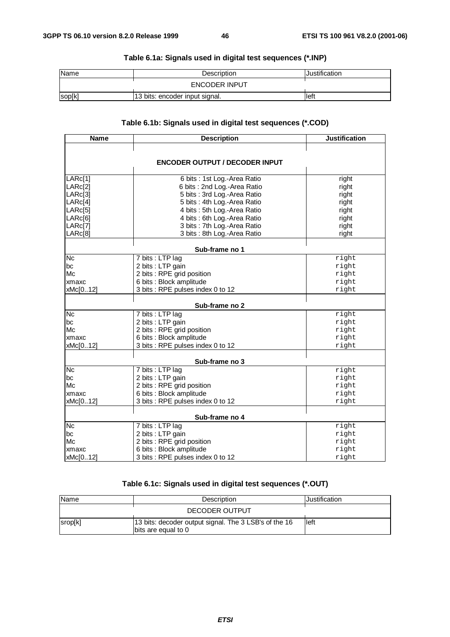| Name   | Description                    | Justification |
|--------|--------------------------------|---------------|
|        | <b>ENCODER INPUT</b>           |               |
| sop[k] | 13 bits: encoder input signal. | lleft         |

#### **Table 6.1a: Signals used in digital test sequences (\*.INP)**

#### **Table 6.1b: Signals used in digital test sequences (\*.COD)**

| <b>Name</b>     | <b>Justification</b>                  |       |  |  |  |  |  |  |  |
|-----------------|---------------------------------------|-------|--|--|--|--|--|--|--|
|                 |                                       |       |  |  |  |  |  |  |  |
|                 |                                       |       |  |  |  |  |  |  |  |
|                 | <b>ENCODER OUTPUT / DECODER INPUT</b> |       |  |  |  |  |  |  |  |
| LARc[1]         | 6 bits : 1st Log.-Area Ratio          | right |  |  |  |  |  |  |  |
| LARc[2]         | 6 bits: 2nd Log.-Area Ratio           | right |  |  |  |  |  |  |  |
| LARc[3]         | 5 bits : 3rd Log.-Area Ratio          | right |  |  |  |  |  |  |  |
| LARC[4]         | 5 bits : 4th Log.-Area Ratio          | right |  |  |  |  |  |  |  |
| LARC[5]         | 4 bits : 5th Log.-Area Ratio          | right |  |  |  |  |  |  |  |
| LARc[6]         | 4 bits: 6th Log.-Area Ratio           | right |  |  |  |  |  |  |  |
| LARc[7]         | 3 bits : 7th Log.-Area Ratio          | right |  |  |  |  |  |  |  |
| LARc[8]         | 3 bits: 8th Log.-Area Ratio           | right |  |  |  |  |  |  |  |
|                 |                                       |       |  |  |  |  |  |  |  |
|                 | Sub-frame no 1                        |       |  |  |  |  |  |  |  |
| <b>Nc</b>       | 7 bits : LTP lag                      | right |  |  |  |  |  |  |  |
| bс              | 2 bits : LTP gain                     | right |  |  |  |  |  |  |  |
| Mc              | 2 bits : RPE grid position            | right |  |  |  |  |  |  |  |
| xmaxc           | 6 bits : Block amplitude              | right |  |  |  |  |  |  |  |
| xMc[012]        | 3 bits : RPE pulses index 0 to 12     | right |  |  |  |  |  |  |  |
|                 | Sub-frame no 2                        |       |  |  |  |  |  |  |  |
| $\overline{Nc}$ | 7 bits : LTP lag                      | right |  |  |  |  |  |  |  |
| bc              | 2 bits : LTP gain                     | right |  |  |  |  |  |  |  |
| Mc              | 2 bits : RPE grid position            | right |  |  |  |  |  |  |  |
| xmaxc           | 6 bits : Block amplitude              | right |  |  |  |  |  |  |  |
| xMc[012]        | 3 bits : RPE pulses index 0 to 12     | right |  |  |  |  |  |  |  |
|                 |                                       |       |  |  |  |  |  |  |  |
|                 | Sub-frame no 3                        |       |  |  |  |  |  |  |  |
| <b>Nc</b>       | 7 bits : LTP lag                      | right |  |  |  |  |  |  |  |
| bc              | 2 bits : LTP gain                     | right |  |  |  |  |  |  |  |
| Mc              | 2 bits : RPE grid position            | right |  |  |  |  |  |  |  |
| xmaxc           | 6 bits : Block amplitude              | right |  |  |  |  |  |  |  |
| xMc[012]        | 3 bits : RPE pulses index 0 to 12     | right |  |  |  |  |  |  |  |
|                 | Sub-frame no 4                        |       |  |  |  |  |  |  |  |
| <b>Nc</b>       | 7 bits : LTP lag                      | right |  |  |  |  |  |  |  |
| bc              | 2 bits : LTP gain                     | right |  |  |  |  |  |  |  |
| Mc              | 2 bits : RPE grid position            | right |  |  |  |  |  |  |  |
| xmaxc           | 6 bits : Block amplitude              | right |  |  |  |  |  |  |  |
| xMc[012]        | 3 bits : RPE pulses index 0 to 12     | right |  |  |  |  |  |  |  |

#### **Table 6.1c: Signals used in digital test sequences (\*.OUT)**

| <b>Name</b> | Description                                                                  | Justification |
|-------------|------------------------------------------------------------------------------|---------------|
|             | DECODER OUTPUT                                                               |               |
| srop[k]     | 13 bits: decoder output signal. The 3 LSB's of the 16<br>bits are equal to 0 | lleft         |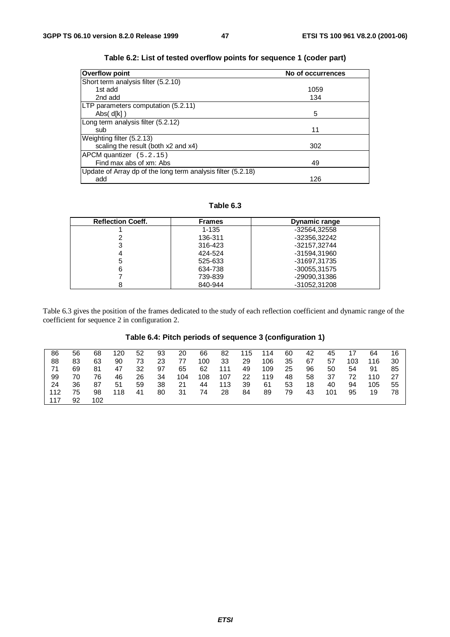| <b>Overflow point</b>                                        | No of occurrences |
|--------------------------------------------------------------|-------------------|
| Short term analysis filter (5.2.10)                          |                   |
| 1st add                                                      | 1059              |
| 2nd add                                                      | 134               |
| LTP parameters computation (5.2.11)                          |                   |
| Abs( $d[k]$ )                                                | 5                 |
| Long term analysis filter (5.2.12)                           |                   |
| sub                                                          | 11                |
| Weighting filter (5.2.13)                                    |                   |
| scaling the result (both x2 and x4)                          | 302               |
| APCM quantizer (5.2.15)                                      |                   |
| Find max abs of xm: Abs                                      | 49                |
| Update of Array dp of the long term analysis filter (5.2.18) |                   |
| add                                                          | 126               |

| Table 6.2: List of tested overflow points for sequence 1 (coder part) |  |  |  |  |  |
|-----------------------------------------------------------------------|--|--|--|--|--|
|-----------------------------------------------------------------------|--|--|--|--|--|

**Table 6.3**

| <b>Reflection Coeff.</b> | <b>Frames</b> | <b>Dynamic range</b> |
|--------------------------|---------------|----------------------|
|                          | $1 - 135$     | -32564.32558         |
|                          | 136-311       | -32356,32242         |
| 3                        | 316-423       | -32157.32744         |
|                          | 424-524       | -31594,31960         |
| 5                        | 525-633       | -31697.31735         |
| 6                        | 634-738       | -30055,31575         |
|                          | 739-839       | -29090,31386         |
|                          | 840-944       | -31052.31208         |

Table 6.3 gives the position of the frames dedicated to the study of each reflection coefficient and dynamic range of the coefficient for sequence 2 in configuration 2.

#### **Table 6.4: Pitch periods of sequence 3 (configuration 1)**

| 86  | 56 | 68  | 120 | 52 | 93 | 20  | 66  | 82  | 115 | 114 | 60 | 42 | 45  | 17  | 64  | 16 |
|-----|----|-----|-----|----|----|-----|-----|-----|-----|-----|----|----|-----|-----|-----|----|
| 88  | 83 | 63  | 90  | 73 | 23 | 77  | 100 | 33  | 29  | 106 | 35 | 67 | 57  | 103 | 116 | 30 |
| 71  | 69 | 81  | 47  | 32 | 97 | 65  | 62  | 111 | 49  | 109 | 25 | 96 | 50  | 54  | 91  | 85 |
| 99  | 70 | 76  | 46  | 26 | 34 | 104 | 108 | 107 | 22  | 119 | 48 | 58 | 37  | 72  | 110 | 27 |
| 24  | 36 | 87  | 51  | 59 | 38 | 21  | 44  | 113 | 39  | 61  | 53 | 18 | 40  | 94  | 105 | 55 |
| 112 | 75 | 98  | 118 | 41 | 80 | -31 | 74  | 28  | 84  | 89  | 79 | 43 | 101 | 95  | 19  | 78 |
| 117 | 92 | 102 |     |    |    |     |     |     |     |     |    |    |     |     |     |    |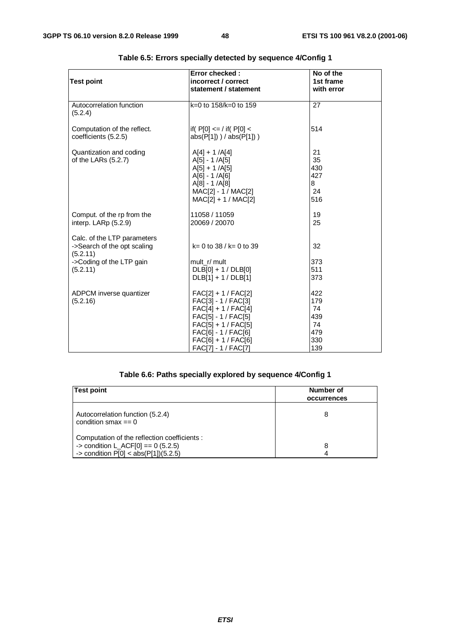| <b>Test point</b>                                                                                              | Error checked:<br>incorrect / correct<br>statement / statement                                                                                                                             | No of the<br>1st frame<br>with error               |  |
|----------------------------------------------------------------------------------------------------------------|--------------------------------------------------------------------------------------------------------------------------------------------------------------------------------------------|----------------------------------------------------|--|
| Autocorrelation function<br>(5.2.4)                                                                            | $k=0$ to 158/k=0 to 159                                                                                                                                                                    | 27                                                 |  |
| Computation of the reflect.<br>coefficients (5.2.5)                                                            | $ $ if( P[0] <= / if( P[0] <<br>$abs(P[1])$ / $abs(P[1])$ )                                                                                                                                | 514                                                |  |
| Quantization and coding<br>of the LARs (5.2.7)                                                                 | $A[4] + 1 /A[4]$<br>$A[5] - 1 / A[5]$<br>$A[5] + 1 / A[5]$<br>$A[6] - 1 / A[6]$<br>$A[8] - 1 / A[8]$<br>MAC[2] - 1 / MAC[2]<br>MAC[2] + 1 / MAC[2]                                         | 21<br>35<br>430<br>427<br>8<br>24<br>516           |  |
| Comput. of the rp from the<br>interp. LARp (5.2.9)                                                             | 11058 / 11059<br>20069 / 20070                                                                                                                                                             | 19<br>25                                           |  |
| Calc. of the LTP parameters<br>->Search of the opt scaling<br>(5.2.11)<br>->Coding of the LTP gain<br>(5.2.11) | $k = 0$ to 38 / $k = 0$ to 39<br>mult r/ mult<br>$DLB[0]+1/DLB[0]$<br>$DLB[1] + 1/DLB[1]$                                                                                                  | 32<br>373<br>511<br>373                            |  |
| ADPCM inverse quantizer<br>(5.2.16)                                                                            | $FAC[2] + 1 / FAC[2]$<br>FAC[3] - 1 / FAC[3]<br>$FAC[4] + 1 / FAC[4]$<br>FAC[5] - 1 / FAC[5]<br>$FAC[5] + 1 / FAC[5]$<br>FAC[6] - 1 / FAC[6]<br>FAC[6] + 1 / FAC[6]<br>FAC[7] - 1 / FAC[7] | 422<br>179<br>74<br>439<br>74<br>479<br>330<br>139 |  |

### **Table 6.5: Errors specially detected by sequence 4/Config 1**

#### **Table 6.6: Paths specially explored by sequence 4/Config 1**

| <b>Test point</b>                                                                                                              | Number of<br>occurrences |
|--------------------------------------------------------------------------------------------------------------------------------|--------------------------|
| Autocorrelation function (5.2.4)<br>condition smax $== 0$                                                                      | 8                        |
| Computation of the reflection coefficients :<br>-> condition $L_ACF[0] == 0 (5.2.5)$<br>-> condition $P[0] < abs(P[1])(5.2.5)$ | 8                        |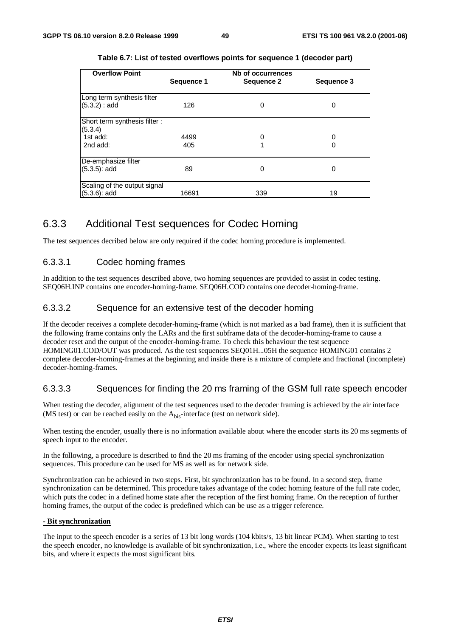| <b>Overflow Point</b>         | Sequence 1 | Nb of occurrences<br>Sequence 2 | Sequence 3 |
|-------------------------------|------------|---------------------------------|------------|
| Long term synthesis filter    |            |                                 |            |
| (5.3.2) : add                 | 126        | 0                               | 0          |
| Short term synthesis filter : |            |                                 |            |
| (5.3.4)                       |            |                                 |            |
| 1st add:                      | 4499       | O                               | 0          |
| 2nd add:                      | 405        |                                 | 0          |
| De-emphasize filter           |            |                                 |            |
| $(5.3.5)$ : add               | 89         | 0                               | 0          |
|                               |            |                                 |            |
| Scaling of the output signal  |            |                                 |            |
| $(5.3.6)$ : add               | 16691      | 339                             | 19         |

#### **Table 6.7: List of tested overflows points for sequence 1 (decoder part)**

#### 6.3.3 Additional Test sequences for Codec Homing

The test sequences decribed below are only required if the codec homing procedure is implemented.

#### 6.3.3.1 Codec homing frames

In addition to the test sequences described above, two homing sequences are provided to assist in codec testing. SEQ06H.INP contains one encoder-homing-frame. SEQ06H.COD contains one decoder-homing-frame.

#### 6.3.3.2 Sequence for an extensive test of the decoder homing

If the decoder receives a complete decoder-homing-frame (which is not marked as a bad frame), then it is sufficient that the following frame contains only the LARs and the first subframe data of the decoder-homing-frame to cause a decoder reset and the output of the encoder-homing-frame. To check this behaviour the test sequence HOMING01.COD/OUT was produced. As the test sequences SEQ01H...05H the sequence HOMING01 contains 2 complete decoder-homing-frames at the beginning and inside there is a mixture of complete and fractional (incomplete) decoder-homing-frames.

#### 6.3.3.3 Sequences for finding the 20 ms framing of the GSM full rate speech encoder

When testing the decoder, alignment of the test sequences used to the decoder framing is achieved by the air interface (MS test) or can be reached easily on the  $A_{\text{bis}}$ -interface (test on network side).

When testing the encoder, usually there is no information available about where the encoder starts its 20 ms segments of speech input to the encoder.

In the following, a procedure is described to find the 20 ms framing of the encoder using special synchronization sequences. This procedure can be used for MS as well as for network side.

Synchronization can be achieved in two steps. First, bit synchronization has to be found. In a second step, frame synchronization can be determined. This procedure takes advantage of the codec homing feature of the full rate codec, which puts the codec in a defined home state after the reception of the first homing frame. On the reception of further homing frames, the output of the codec is predefined which can be use as a trigger reference.

#### **- Bit synchronization**

The input to the speech encoder is a series of 13 bit long words (104 kbits/s, 13 bit linear PCM). When starting to test the speech encoder, no knowledge is available of bit synchronization, i.e., where the encoder expects its least significant bits, and where it expects the most significant bits.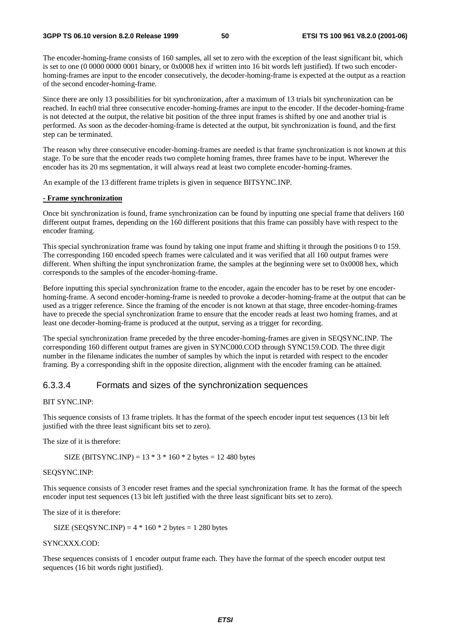The encoder-homing-frame consists of 160 samples, all set to zero with the exception of the least significant bit, which is set to one (0 0000 0000 0001 binary, or 0x0008 hex if written into 16 bit words left justified). If two such encoderhoming-frames are input to the encoder consecutively, the decoder-homing-frame is expected at the output as a reaction of the second encoder-homing-frame.

Since there are only 13 possibilities for bit synchronization, after a maximum of 13 trials bit synchronization can be reached. In each0 trial three consecutive encoder-homing-frames are input to the encoder. If the decoder-homing-frame is not detected at the output, the relative bit position of the three input frames is shifted by one and another trial is performed. As soon as the decoder-homing-frame is detected at the output, bit synchronization is found, and the first step can be terminated.

The reason why three consecutive encoder-homing-frames are needed is that frame synchronization is not known at this stage. To be sure that the encoder reads two complete homing frames, three frames have to be input. Wherever the encoder has its 20 ms segmentation, it will always read at least two complete encoder-homing-frames.

An example of the 13 different frame triplets is given in sequence BITSYNC.INP.

#### **- Frame synchronization**

Once bit synchronization is found, frame synchronization can be found by inputting one special frame that delivers 160 different output frames, depending on the 160 different positions that this frame can possibly have with respect to the encoder framing.

This special synchronization frame was found by taking one input frame and shifting it through the positions 0 to 159. The corresponding 160 encoded speech frames were calculated and it was verified that all 160 output frames were different. When shifting the input synchronization frame, the samples at the beginning were set to 0x0008 hex, which corresponds to the samples of the encoder-homing-frame.

Before inputting this special synchronization frame to the encoder, again the encoder has to be reset by one encoderhoming-frame. A second encoder-homing-frame is needed to provoke a decoder-homing-frame at the output that can be used as a trigger reference. Since the framing of the encoder is not known at that stage, three encoder-homing-frames have to precede the special synchronization frame to ensure that the encoder reads at least two homing frames, and at least one decoder-homing-frame is produced at the output, serving as a trigger for recording.

The special synchronization frame preceded by the three encoder-homing-frames are given in SEQSYNC.INP. The corresponding 160 different output frames are given in SYNC000.COD through SYNC159.COD. The three digit number in the filename indicates the number of samples by which the input is retarded with respect to the encoder framing. By a corresponding shift in the opposite direction, alignment with the encoder framing can be attained.

#### 6.3.3.4 Formats and sizes of the synchronization sequences

#### BIT SYNC.INP:

This sequence consists of 13 frame triplets. It has the format of the speech encoder input test sequences (13 bit left justified with the three least significant bits set to zero).

The size of it is therefore:

SIZE (BITSYNC.INP) =  $13 * 3 * 160 * 2$  bytes = 12 480 bytes

#### SEQSYNC.INP:

This sequence consists of 3 encoder reset frames and the special synchronization frame. It has the format of the speech encoder input test sequences (13 bit left justified with the three least significant bits set to zero).

The size of it is therefore:

SIZE (SEQSYNC.INP) =  $4 * 160 * 2$  bytes = 1 280 bytes

#### SYNCXXX.COD:

These sequences consists of 1 encoder output frame each. They have the format of the speech encoder output test sequences (16 bit words right justified).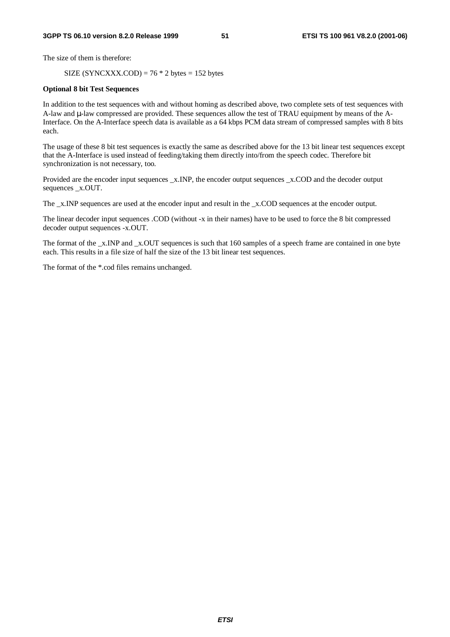The size of them is therefore:

SIZE (SYNCXXX.COD) =  $76 * 2$  bytes = 152 bytes

#### **Optional 8 bit Test Sequences**

In addition to the test sequences with and without homing as described above, two complete sets of test sequences with A-law and µ-law compressed are provided. These sequences allow the test of TRAU equipment by means of the A-Interface. On the A-Interface speech data is available as a 64 kbps PCM data stream of compressed samples with 8 bits each.

The usage of these 8 bit test sequences is exactly the same as described above for the 13 bit linear test sequences except that the A-Interface is used instead of feeding/taking them directly into/from the speech codec. Therefore bit synchronization is not necessary, too.

Provided are the encoder input sequences \_x.INP, the encoder output sequences \_x.COD and the decoder output sequences \_x.OUT.

The x.INP sequences are used at the encoder input and result in the x.COD sequences at the encoder output.

The linear decoder input sequences .COD (without -x in their names) have to be used to force the 8 bit compressed decoder output sequences -x.OUT.

The format of the \_x.INP and \_x.OUT sequences is such that 160 samples of a speech frame are contained in one byte each. This results in a file size of half the size of the 13 bit linear test sequences.

The format of the \*.cod files remains unchanged.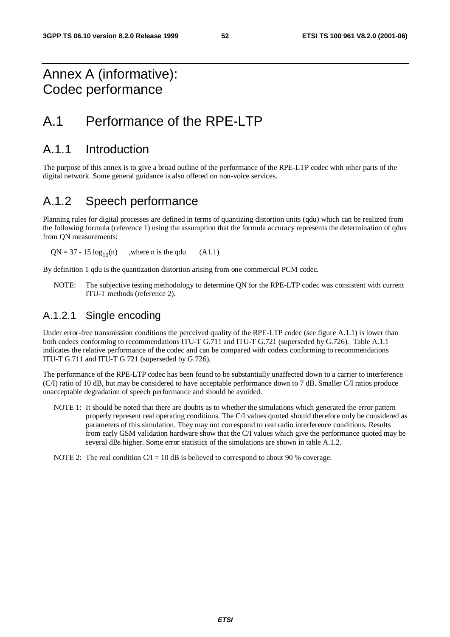### Annex A (informative): Codec performance

### A.1 Performance of the RPE-LTP

### A.1.1 Introduction

The purpose of this annex is to give a broad outline of the performance of the RPE-LTP codec with other parts of the digital network. Some general guidance is also offered on non-voice services.

### A.1.2 Speech performance

Planning rules for digital processes are defined in terms of quantizing distortion units (qdu) which can be realized from the following formula (reference 1) using the assumption that the formula accuracy represents the determination of qdus from QN measurements:

 $QN = 37 - 15 \log_{10}(n)$ , where n is the qdu (A1.1)

By definition 1 qdu is the quantization distortion arising from one commercial PCM codec.

NOTE: The subjective testing methodology to determine QN for the RPE-LTP codec was consistent with current ITU-T methods (reference 2).

#### A.1.2.1 Single encoding

Under error-free transmission conditions the perceived quality of the RPE-LTP codec (see figure A.1.1) is lower than both codecs conforming to recommendations ITU-T G.711 and ITU-T G.721 (superseded by G.726). Table A.1.1 indicates the relative performance of the codec and can be compared with codecs conforming to recommendations ITU-T G.711 and ITU-T G.721 (superseded by G.726).

The performance of the RPE-LTP codec has been found to be substantially unaffected down to a carrier to interference (C/I) ratio of 10 dB, but may be considered to have acceptable performance down to 7 dB. Smaller C/I ratios produce unacceptable degradation of speech performance and should be avoided.

NOTE 1: It should be noted that there are doubts as to whether the simulations which generated the error pattern properly represent real operating conditions. The C/I values quoted should therefore only be considered as parameters of this simulation. They may not correspond to real radio interference conditions. Results from early GSM validation hardware show that the C/I values which give the performance quoted may be several dBs higher. Some error statistics of the simulations are shown in table A.1.2.

NOTE 2: The real condition  $C/I = 10$  dB is believed to correspond to about 90 % coverage.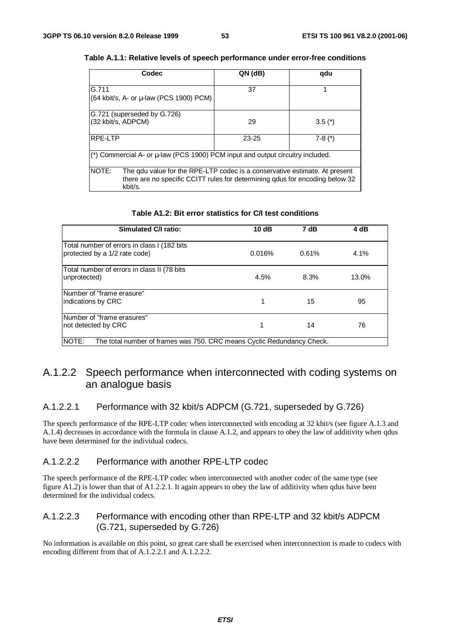| Codec                                                                                                                                                                                 | $QN$ (dB) | qdu      |  |  |  |  |
|---------------------------------------------------------------------------------------------------------------------------------------------------------------------------------------|-----------|----------|--|--|--|--|
| G.711<br>(64 kbit/s, A- or µ-law (PCS 1900) PCM)                                                                                                                                      | 37        |          |  |  |  |  |
| G.721 (superseded by G.726)<br>(32 kbit/s, ADPCM)                                                                                                                                     | 29        | $3.5(*)$ |  |  |  |  |
| RPE-LTP                                                                                                                                                                               | $23 - 25$ | $7-8(*)$ |  |  |  |  |
| (*) Commercial A- or μ-law (PCS 1900) PCM input and output circuitry included.                                                                                                        |           |          |  |  |  |  |
| <b>NOTE:</b><br>The gdu value for the RPE-LTP codec is a conservative estimate. At present<br>there are no specific CCITT rules for determining qdus for encoding below 32<br>kbit/s. |           |          |  |  |  |  |

#### **Table A.1.1: Relative levels of speech performance under error-free conditions**

| Table A1.2: Bit error statistics for C/I test conditions |  |
|----------------------------------------------------------|--|
|                                                          |  |

| Simulated C/I ratio:                                                            | 10dB   | 7 dB     | 4 dB    |  |  |  |  |
|---------------------------------------------------------------------------------|--------|----------|---------|--|--|--|--|
| Total number of errors in class I (182 bits<br>protected by a 1/2 rate code)    | 0.016% | $0.61\%$ | $4.1\%$ |  |  |  |  |
| Total number of errors in class II (78 bits<br>unprotected)                     | 4.5%   | 8.3%     | 13.0%   |  |  |  |  |
| Number of "frame erasure"<br>indications by CRC                                 |        | 15       | 95      |  |  |  |  |
| Number of "frame erasures"<br>not detected by CRC                               |        | 14       | 76      |  |  |  |  |
| NOTE:<br>The total number of frames was 750. CRC means Cyclic Redundancy Check. |        |          |         |  |  |  |  |

#### A.1.2.2 Speech performance when interconnected with coding systems on an analogue basis

#### A.1.2.2.1 Performance with 32 kbit/s ADPCM (G.721, superseded by G.726)

The speech performance of the RPE-LTP codec when interconnected with encoding at 32 kbit/s (see figure A.1.3 and A.1.4) decreases in accordance with the formula in clause A.1.2, and appears to obey the law of additivity when qdus have been determined for the individual codecs.

#### A.1.2.2.2 Performance with another RPE-LTP codec

The speech performance of the RPE-LTP codec when interconnected with another codec of the same type (see figure A1.2) is lower than that of A1.2.2.1. It again appears to obey the law of additivity when qdus have been determined for the individual codecs.

#### A.1.2.2.3 Performance with encoding other than RPE-LTP and 32 kbit/s ADPCM (G.721, superseded by G.726)

No information is available on this point, so great care shall be exercised when interconnection is made to codecs with encoding different from that of A.1.2.2.1 and A.1.2.2.2.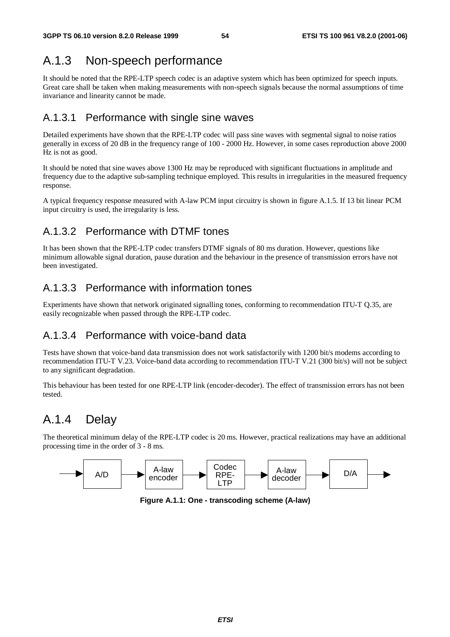### A.1.3 Non-speech performance

It should be noted that the RPE-LTP speech codec is an adaptive system which has been optimized for speech inputs. Great care shall be taken when making measurements with non-speech signals because the normal assumptions of time invariance and linearity cannot be made.

#### A.1.3.1 Performance with single sine waves

Detailed experiments have shown that the RPE-LTP codec will pass sine waves with segmental signal to noise ratios generally in excess of 20 dB in the frequency range of 100 - 2000 Hz. However, in some cases reproduction above 2000 Hz is not as good.

It should be noted that sine waves above 1300 Hz may be reproduced with significant fluctuations in amplitude and frequency due to the adaptive sub-sampling technique employed. This results in irregularities in the measured frequency response.

A typical frequency response measured with A-law PCM input circuitry is shown in figure A.1.5. If 13 bit linear PCM input circuitry is used, the irregularity is less.

### A.1.3.2 Performance with DTMF tones

It has been shown that the RPE-LTP codec transfers DTMF signals of 80 ms duration. However, questions like minimum allowable signal duration, pause duration and the behaviour in the presence of transmission errors have not been investigated.

### A.1.3.3 Performance with information tones

Experiments have shown that network originated signalling tones, conforming to recommendation ITU-T Q.35, are easily recognizable when passed through the RPE-LTP codec.

#### A.1.3.4 Performance with voice-band data

Tests have shown that voice-band data transmission does not work satisfactorily with 1200 bit/s modems according to recommendation ITU-T V.23. Voice-band data according to recommendation ITU-T V.21 (300 bit/s) will not be subject to any significant degradation.

This behaviour has been tested for one RPE-LTP link (encoder-decoder). The effect of transmission errors has not been tested.

### A.1.4 Delay

The theoretical minimum delay of the RPE-LTP codec is 20 ms. However, practical realizations may have an additional processing time in the order of 3 - 8 ms.



**Figure A.1.1: One - transcoding scheme (A-law)**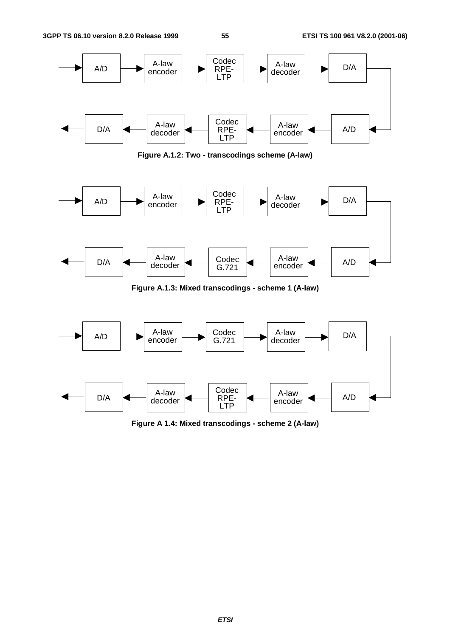

**Figure A.1.2: Two - transcodings scheme (A-law)**



**Figure A.1.3: Mixed transcodings - scheme 1 (A-law)**



**Figure A 1.4: Mixed transcodings - scheme 2 (A-law)**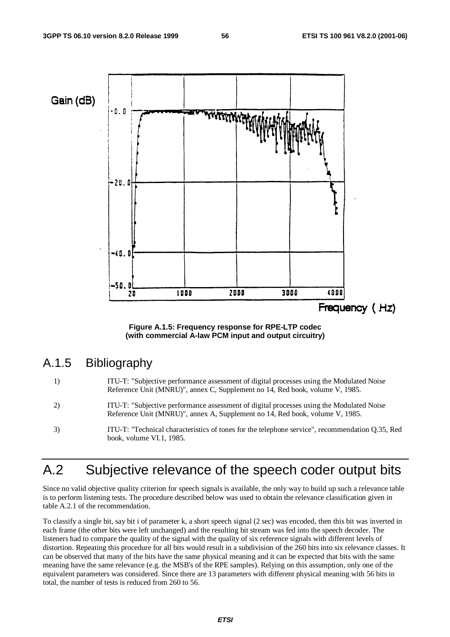

**Figure A.1.5: Frequency response for RPE-LTP codec (with commercial A-law PCM input and output circuitry)**

#### A.1.5 Bibliography

- 1) ITU-T: "Subjective performance assessment of digital processes using the Modulated Noise Reference Unit (MNRU)", annex C, Supplement no 14, Red book, volume V, 1985.
- 2) ITU-T: "Subjective performance assessment of digital processes using the Modulated Noise Reference Unit (MNRU)", annex A, Supplement no 14, Red book, volume V, 1985.
- 3) ITU-T: "Technical characteristics of tones for the telephone service", recommendation Q.35, Red book, volume VI.1, 1985.

### A.2 Subjective relevance of the speech coder output bits

Since no valid objective quality criterion for speech signals is available, the only way to build up such a relevance table is to perform listening tests. The procedure described below was used to obtain the relevance classification given in table A.2.1 of the recommendation.

To classify a single bit, say bit i of parameter k, a short speech signal (2 sec) was encoded, then this bit was inverted in each frame (the other bits were left unchanged) and the resulting bit stream was fed into the speech decoder. The listeners had to compare the quality of the signal with the quality of six reference signals with different levels of distortion. Repeating this procedure for all bits would result in a subdivision of the 260 bits into six relevance classes. It can be observed that many of the bits have the same physical meaning and it can be expected that bits with the same meaning have the same relevance (e.g. the MSB's of the RPE samples). Relying on this assumption, only one of the equivalent parameters was considered. Since there are 13 parameters with different physical meaning with 56 bits in total, the number of tests is reduced from 260 to 56.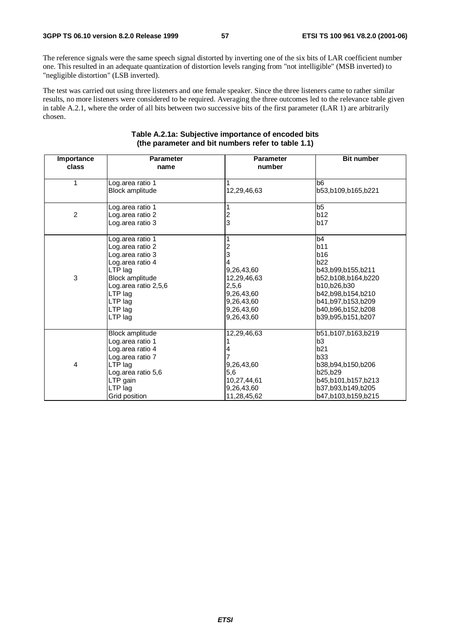The reference signals were the same speech signal distorted by inverting one of the six bits of LAR coefficient number one. This resulted in an adequate quantization of distortion levels ranging from "not intelligible" (MSB inverted) to "negligible distortion" (LSB inverted).

The test was carried out using three listeners and one female speaker. Since the three listeners came to rather similar results, no more listeners were considered to be required. Averaging the three outcomes led to the relevance table given in table A.2.1, where the order of all bits between two successive bits of the first parameter (LAR 1) are arbitrarily chosen.

| Importance<br>class | <b>Parameter</b><br>name | <b>Parameter</b><br>number | <b>Bit number</b>  |
|---------------------|--------------------------|----------------------------|--------------------|
|                     |                          |                            |                    |
| 1                   | Log.area ratio 1         |                            | b <sub>6</sub>     |
|                     | Block amplitude          | 12,29,46,63                | b53,b109,b165,b221 |
|                     |                          |                            |                    |
|                     | Log.area ratio 1         |                            | b5                 |
| $\overline{2}$      | Log.area ratio 2         | $\frac{2}{3}$              | b12                |
|                     | Log.area ratio 3         |                            | b17                |
|                     |                          |                            |                    |
|                     | Log.area ratio 1         |                            | b4                 |
|                     | Log.area ratio 2         |                            | b11                |
|                     | Log.area ratio 3         | 3                          | <b>b16</b>         |
|                     | Log.area ratio 4         |                            | b22                |
|                     | LTP lag                  | 9,26,43,60                 | b43,b99,b155,b211  |
| 3                   | Block amplitude          | 12,29,46,63                | b52,b108,b164,b220 |
|                     | Log.area ratio 2,5,6     | 2,5,6                      | b10,b26,b30        |
|                     | LTP lag                  | 9,26,43,60                 | b42,b98,b154,b210  |
|                     | LTP lag                  | 9,26,43,60                 | b41,b97,b153,b209  |
|                     | LTP lag                  | 9,26,43,60                 | b40,b96,b152,b208  |
|                     | LTP lag                  | 9,26,43,60                 | b39,b95,b151,b207  |
|                     |                          |                            |                    |
|                     | Block amplitude          | 12,29,46,63                | b51,b107,b163,b219 |
|                     | Log.area ratio 1         |                            | b3                 |
|                     | Log.area ratio 4         |                            | b21                |
|                     | Log.area ratio 7         |                            | b33                |
| 4                   | LTP lag                  | 9,26,43,60                 | b38,b94,b150,b206  |
|                     | Log.area ratio 5,6       | 5,6                        | b25,b29            |
|                     | LTP gain                 | 10,27,44,61                | b45,b101,b157,b213 |
|                     | LTP lag                  | 9,26,43,60                 | b37,b93,b149,b205  |
|                     | Grid position            | 11,28,45,62                | b47,b103,b159,b215 |

#### **Table A.2.1a: Subjective importance of encoded bits (the parameter and bit numbers refer to table 1.1)**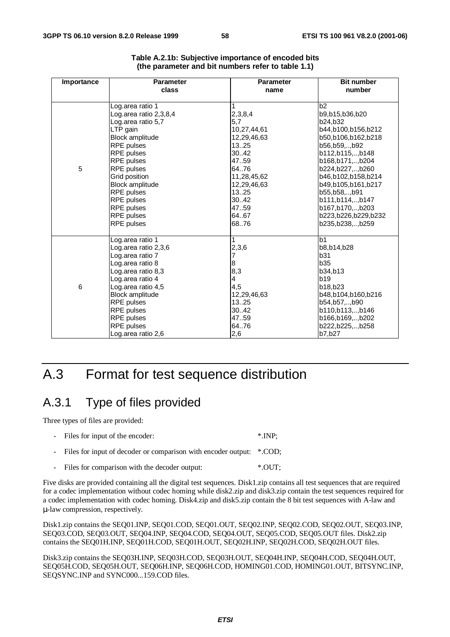| Importance      | <b>Parameter</b>       | <b>Parameter</b> | <b>Bit number</b>   |
|-----------------|------------------------|------------------|---------------------|
|                 | class                  | name             | number              |
|                 |                        |                  |                     |
|                 | Log.area ratio 1       |                  | b2                  |
|                 | Log.area ratio 2,3,8,4 | 2,3,8,4          | b9,b15,b36,b20      |
|                 | Log.area ratio 5,7     | 5,7              | b24,b32             |
|                 | LTP gain               | 10,27,44,61      | b44,b100,b156,b212  |
|                 | <b>Block amplitude</b> | 12,29,46,63      | b50,b106,b162,b218  |
|                 | RPE pulses             | 13.25            | b56,b59,b92         |
|                 | RPE pulses             | 30.42            | b112,b115,,b148     |
|                 | RPE pulses             | 47.59            | b168,b171,,b204     |
| 5               | RPE pulses             | 64.76            | b224,b227,,b260     |
|                 | Grid position          | 11,28,45,62      | b46,b102,b158,b214  |
|                 | <b>Block amplitude</b> | 12,29,46,63      | b49,b105,b161,b217  |
|                 | RPE pulses             | 1325             | b55,b58,,b91        |
|                 | RPE pulses             | 30.42            | b111,b114,,b147     |
|                 | RPE pulses             | 47.59            | b167,b170,,b203     |
|                 | RPE pulses             | 64.67            | b223,b226,b229,b232 |
|                 | RPE pulses             | 6876             | b235, b238, , b259  |
|                 | Log.area ratio 1       | 1                | b <sub>1</sub>      |
|                 | Log.area ratio 2,3,6   | 2,3,6            | b8,b14,b28          |
|                 | Log.area ratio 7       |                  | b31                 |
|                 | Log.area ratio 8       | 8                | <b>b35</b>          |
|                 | Log.area ratio 8,3     | 8,3              | b34,b13             |
|                 | Log.area ratio 4       | 4                | b19                 |
| $6\phantom{1}6$ | Log.area ratio 4,5     | 4,5              | b18,b23             |
|                 | <b>Block amplitude</b> | 12,29,46,63      | b48,b104,b160,b216  |
|                 | RPE pulses             | 13.25            | b54,b57,,b90        |
|                 | RPE pulses             | 30.42            | b110,b113,,b146     |
|                 | RPE pulses             | 47.59            | b166,b169,,b202     |
|                 | RPE pulses             | 6476             | b222,b225,,b258     |
|                 | Log.area ratio 2,6     | 2,6              | b7,b27              |

| Table A.2.1b: Subjective importance of encoded bits |  |
|-----------------------------------------------------|--|
| (the parameter and bit numbers refer to table 1.1)  |  |

### A.3 Format for test sequence distribution

### A.3.1 Type of files provided

Three types of files are provided:

| - Files for input of the encoder:                                      | $^*$ .INP: |
|------------------------------------------------------------------------|------------|
| - Files for input of decoder or comparison with encoder output: *.COD; |            |
| - Files for comparison with the decoder output:                        | *.OUT;     |

Five disks are provided containing all the digital test sequences. Disk1.zip contains all test sequences that are required for a codec implementation without codec homing while disk2.zip and disk3.zip contain the test sequences required for a codec implementation with codec homing. Disk4.zip and disk5.zip contain the 8 bit test sequences with A-law and µ-law compression, respectively.

Disk1.zip contains the SEQ01.INP, SEQ01.COD, SEQ01.OUT, SEQ02.INP, SEQ02.COD, SEQ02.OUT, SEQ03.INP, SEQ03.COD, SEQ03.OUT, SEQ04.INP, SEQ04.COD, SEQ04.OUT, SEQ05.COD, SEQ05.OUT files. Disk2.zip contains the SEQ01H.INP, SEQ01H.COD, SEQ01H.OUT, SEQ02H.INP, SEQ02H.COD, SEQ02H.OUT files.

Disk3.zip contains the SEQ03H.INP, SEQ03H.COD, SEQ03H.OUT, SEQ04H.INP, SEQ04H.COD, SEQ04H.OUT, SEQ05H.COD, SEQ05H.OUT, SEQ06H.INP, SEQ06H.COD, HOMING01.COD, HOMING01.OUT, BITSYNC.INP, SEQSYNC.INP and SYNC000...159.COD files.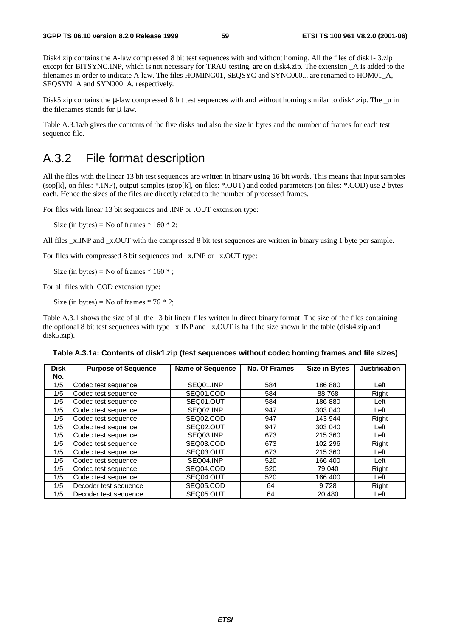Disk4.zip contains the A-law compressed 8 bit test sequences with and without homing. All the files of disk1- 3.zip except for BITSYNC.INP, which is not necessary for TRAU testing, are on disk4.zip. The extension \_A is added to the filenames in order to indicate A-law. The files HOMING01, SEQSYC and SYNC000... are renamed to HOM01\_A, SEQSYN A and SYN000 A, respectively.

Disk5.zip contains the  $\mu$ -law compressed 8 bit test sequences with and without homing similar to disk4.zip. The \_u in the filenames stands for µ-law.

Table A.3.1a/b gives the contents of the five disks and also the size in bytes and the number of frames for each test sequence file.

### A.3.2 File format description

All the files with the linear 13 bit test sequences are written in binary using 16 bit words. This means that input samples (sop[k], on files: \*.INP), output samples (srop[k], on files: \*.OUT) and coded parameters (on files: \*.COD) use 2 bytes each. Hence the sizes of the files are directly related to the number of processed frames.

For files with linear 13 bit sequences and .INP or .OUT extension type:

Size (in bytes) = No of frames  $* 160 * 2$ ;

All files  $x$ . INP and  $x$ . OUT with the compressed 8 bit test sequences are written in binary using 1 byte per sample.

For files with compressed 8 bit sequences and \_x.INP or \_x.OUT type:

Size (in bytes) = No of frames  $* 160 *$ ;

For all files with .COD extension type:

Size (in bytes) = No of frames  $* 76 * 2$ ;

Table A.3.1 shows the size of all the 13 bit linear files written in direct binary format. The size of the files containing the optional 8 bit test sequences with type  $x$ . INP and  $x$ . OUT is half the size shown in the table (disk4.zip and disk5.zip).

|  | Table A.3.1a: Contents of disk1.zip (test sequences without codec homing frames and file sizes) |  |  |  |  |  |
|--|-------------------------------------------------------------------------------------------------|--|--|--|--|--|
|--|-------------------------------------------------------------------------------------------------|--|--|--|--|--|

| <b>Disk</b><br>No. | <b>Purpose of Sequence</b> | <b>Name of Sequence</b> | No. Of Frames | <b>Size in Bytes</b> | <b>Justification</b> |
|--------------------|----------------------------|-------------------------|---------------|----------------------|----------------------|
| 1/5                | Codec test sequence        | SEQ01.INP               | 584           | 186 880              | Left                 |
| 1/5                | Codec test sequence        | SEQ01.COD               | 584           | 88768                | Right                |
| 1/5                | Codec test sequence        | SEQ01.OUT               | 584           | 186 880              | Left                 |
| 1/5                | Codec test sequence        | SEQ02.INP               | 947           | 303 040              | Left                 |
| 1/5                | Codec test sequence        | SEQ02.COD               | 947           | 143 944              | Right                |
| 1/5                | Codec test sequence        | SEQ02.OUT               | 947           | 303 040              | Left                 |
| 1/5                | Codec test sequence        | SEQ03.INP               | 673           | 215 360              | Left                 |
| 1/5                | Codec test sequence        | SEQ03.COD               | 673           | 102 296              | Right                |
| 1/5                | Codec test sequence        | SEQ03,OUT               | 673           | 215 360              | Left                 |
| 1/5                | Codec test sequence        | SEQ04.INP               | 520           | 166 400              | Left                 |
| 1/5                | Codec test sequence        | SEQ04.COD               | 520           | 79 040               | Right                |
| 1/5                | Codec test sequence        | SEQ04.OUT               | 520           | 166 400              | Left                 |
| 1/5                | Decoder test sequence      | SEQ05.COD               | 64            | 9728                 | Right                |
| 1/5                | Decoder test sequence      | SEQ05.OUT               | 64            | 20 480               | Left                 |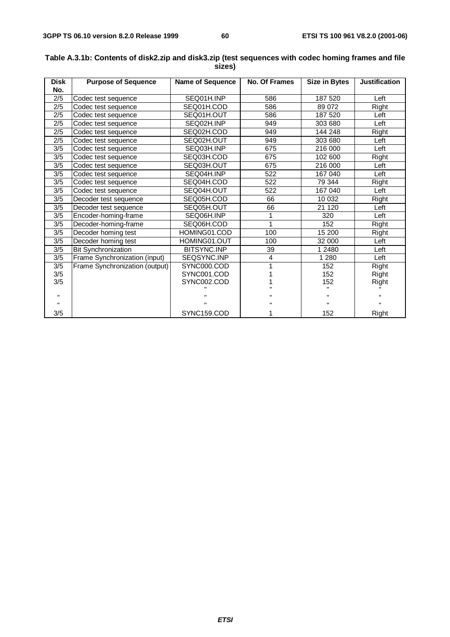| <b>Disk</b><br>No. | <b>Purpose of Sequence</b>     | Name of Sequence | <b>No. Of Frames</b> | <b>Size in Bytes</b> | <b>Justification</b> |
|--------------------|--------------------------------|------------------|----------------------|----------------------|----------------------|
| 2/5                | Codec test sequence            | SEQ01H.INP       | 586                  | 187 520              | Left                 |
| 2/5                | Codec test sequence            | SEQ01H.COD       | 586                  | 89 072               | Right                |
| 2/5                | Codec test sequence            | SEQ01H.OUT       | 586                  | 187 520              | Left                 |
|                    |                                |                  | 949                  |                      | Left                 |
| 2/5                | Codec test sequence            | SEQ02H.INP       |                      | 303 680              |                      |
| 2/5                | Codec test sequence            | SEQ02H.COD       | 949                  | 144 248              | Right                |
| 2/5                | Codec test sequence            | SEQ02H.OUT       | 949                  | 303 680              | Left                 |
| 3/5                | Codec test sequence            | SEQ03H.INP       | 675                  | 216 000              | Left                 |
| 3/5                | Codec test sequence            | SEQ03H.COD       | 675                  | 102 600              | Right                |
| 3/5                | Codec test sequence            | SEQ03H.OUT       | 675                  | 216 000              | Left                 |
| 3/5                | Codec test sequence            | SEQ04H.INP       | 522                  | 167 040              | Left                 |
| 3/5                | Codec test sequence            | SEQ04H.COD       | 522                  | 79 344               | Right                |
| 3/5                | Codec test sequence            | SEQ04H.OUT       | 522                  | 167 040              | Left                 |
| 3/5                | Decoder test sequence          | SEQ05H.COD       | 66                   | 10 032               | Right                |
| 3/5                | Decoder test sequence          | SEQ05H.OUT       | 66                   | 21 1 20              | Left                 |
| 3/5                | Encoder-homing-frame           | SEQ06H.INP       |                      | 320                  | Left                 |
| 3/5                | Decoder-homing-frame           | SEQ06H.COD       | 1                    | 152                  | Right                |
| 3/5                | Decoder homing test            | HOMING01.COD     | 100                  | 15 200               | Right                |
| 3/5                | Decoder homing test            | HOMING01.OUT     | 100                  | 32 000               | Left                 |
| 3/5                | <b>Bit Synchronization</b>     | BITSYNC.INP      | 39                   | 1 2480               | Left                 |
| 3/5                | Frame Synchronization (input)  | SEQSYNC.INP      | 4                    | 1 2 8 0              | Left                 |
| 3/5                | Frame Synchronization (output) | SYNC000.COD      |                      | 152                  | Right                |
| 3/5                |                                | SYNC001.COD      |                      | 152                  | Right                |
| 3/5                |                                | SYNC002.COD      |                      | 152                  | Right                |
|                    |                                |                  |                      |                      |                      |
|                    |                                |                  |                      |                      |                      |
|                    |                                |                  |                      |                      |                      |
| 3/5                |                                | SYNC159.COD      |                      | 152                  | Right                |

#### **Table A.3.1b: Contents of disk2.zip and disk3.zip (test sequences with codec homing frames and file sizes)**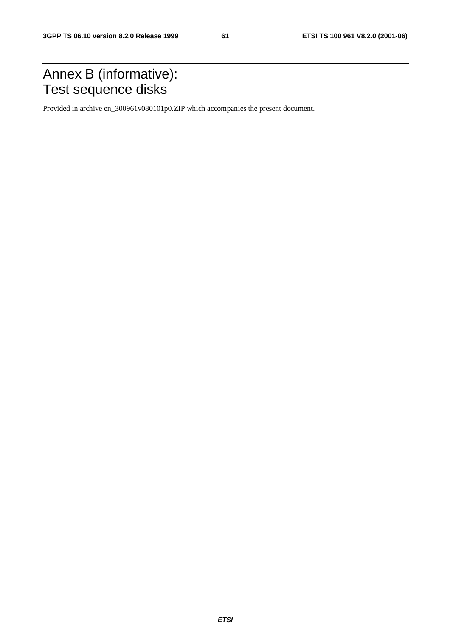## Annex B (informative): Test sequence disks

Provided in archive en\_300961v080101p0.ZIP which accompanies the present document.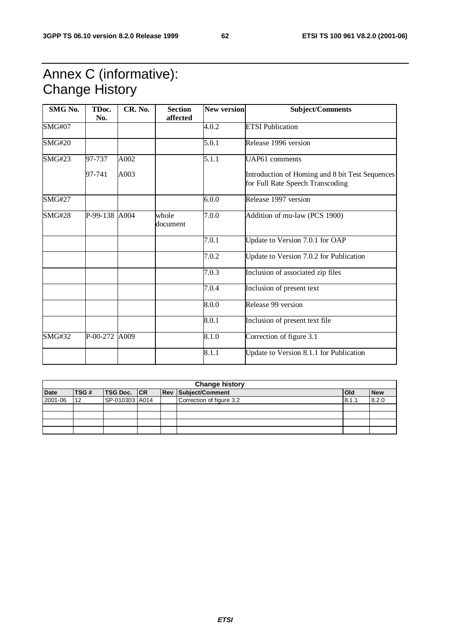## Annex C (informative): Change History

| SMG No.       | TDoc.<br>No.  | CR. No. | <b>Section</b><br>affected | <b>New version</b> | <b>Subject/Comments</b>                                                             |
|---------------|---------------|---------|----------------------------|--------------------|-------------------------------------------------------------------------------------|
| <b>SMG#07</b> |               |         |                            | 4.0.2              | <b>ETSI Publication</b>                                                             |
| <b>SMG#20</b> |               |         |                            | 5.0.1              | Release 1996 version                                                                |
| <b>SMG#23</b> | 97-737        | A002    |                            | 5.1.1              | UAP61 comments                                                                      |
|               | 97-741        | A003    |                            |                    | Introduction of Homing and 8 bit Test Sequences<br>for Full Rate Speech Transcoding |
| <b>SMG#27</b> |               |         |                            | 6.0.0              | Release 1997 version                                                                |
| <b>SMG#28</b> | P-99-138 A004 |         | whole<br>document          | 7.0.0              | Addition of mu-law (PCS 1900)                                                       |
|               |               |         |                            | 7.0.1              | Update to Version 7.0.1 for OAP                                                     |
|               |               |         |                            | 7.0.2              | Update to Version 7.0.2 for Publication                                             |
|               |               |         |                            | 7.0.3              | Inclusion of associated zip files                                                   |
|               |               |         |                            | 7.0.4              | Inclusion of present text                                                           |
|               |               |         |                            | 8.0.0              | Release 99 version                                                                  |
|               |               |         |                            | 8.0.1              | Inclusion of present text file                                                      |
| <b>SMG#32</b> | P-00-272 A009 |         |                            | 8.1.0              | Correction of figure 3.1                                                            |
|               |               |         |                            | 8.1.1              | Update to Version 8.1.1 for Publication                                             |

| <b>Change history</b> |      |                    |  |  |                            |            |            |  |  |
|-----------------------|------|--------------------|--|--|----------------------------|------------|------------|--|--|
| <b>Date</b>           | TSG# | <b>TSG Doc.</b> CR |  |  | <b>Rev Subject/Comment</b> | <b>Old</b> | <b>New</b> |  |  |
| 2001-06               | 12   | SP-010303 A014     |  |  | Correction of figure 3.2   | 8.1.1      | 8.2.0      |  |  |
|                       |      |                    |  |  |                            |            |            |  |  |
|                       |      |                    |  |  |                            |            |            |  |  |
|                       |      |                    |  |  |                            |            |            |  |  |
|                       |      |                    |  |  |                            |            |            |  |  |